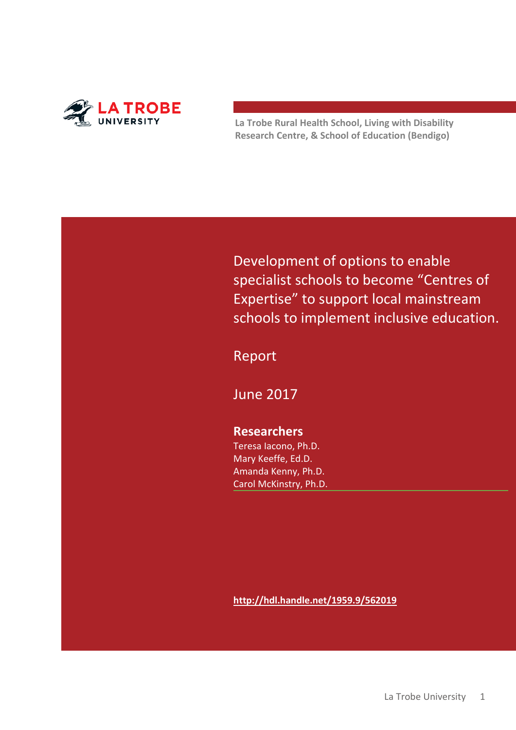

**La Trobe Rural Health School, Living with Disability Research Centre, & School of Education (Bendigo)**

Development of options to enable specialist schools to become "Centres of Expertise" to support local mainstream schools to implement inclusive education.

Report

June 2017

## **Researchers**

Teresa Iacono, Ph.D. Mary Keeffe, Ed.D. Amanda Kenny, Ph.D. Carol McKinstry, Ph.D.

**<http://hdl.handle.net/1959.9/562019>**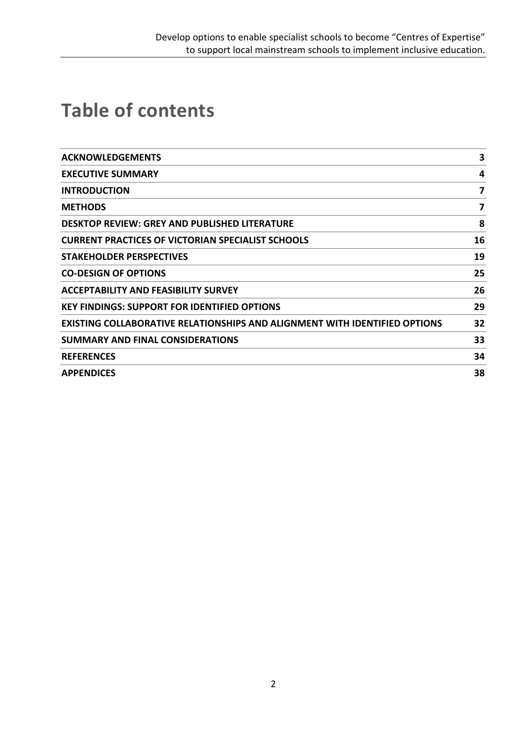# **Table of contents**

| <b>ACKNOWLEDGEMENTS</b>                                                           | 3  |
|-----------------------------------------------------------------------------------|----|
| <b>EXECUTIVE SUMMARY</b>                                                          | 4  |
| <b>INTRODUCTION</b>                                                               | 7  |
| <b>METHODS</b>                                                                    | 7  |
| <b>DESKTOP REVIEW: GREY AND PUBLISHED LITERATURE</b>                              | 8  |
| <b>CURRENT PRACTICES OF VICTORIAN SPECIALIST SCHOOLS</b>                          | 16 |
| <b>STAKEHOLDER PERSPECTIVES</b>                                                   | 19 |
| <b>CO-DESIGN OF OPTIONS</b>                                                       | 25 |
| <b>ACCEPTABILITY AND FEASIBILITY SURVEY</b>                                       | 26 |
| <b>KEY FINDINGS: SUPPORT FOR IDENTIFIED OPTIONS</b>                               | 29 |
| <b>EXISTING COLLABORATIVE RELATIONSHIPS AND ALIGNMENT WITH IDENTIFIED OPTIONS</b> | 32 |
| <b>SUMMARY AND FINAL CONSIDERATIONS</b>                                           | 33 |
| <b>REFERENCES</b>                                                                 | 34 |
| <b>APPENDICES</b>                                                                 | 38 |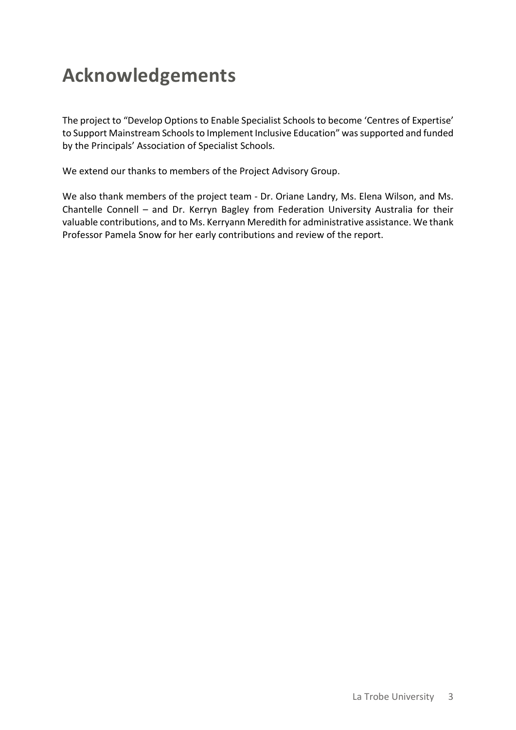# **Acknowledgements**

The project to "Develop Options to Enable Specialist Schools to become 'Centres of Expertise' to Support Mainstream Schools to Implement Inclusive Education" was supported and funded by the Principals' Association of Specialist Schools.

We extend our thanks to members of the Project Advisory Group.

We also thank members of the project team - Dr. Oriane Landry, Ms. Elena Wilson, and Ms. Chantelle Connell – and Dr. Kerryn Bagley from Federation University Australia for their valuable contributions, and to Ms. Kerryann Meredith for administrative assistance. We thank Professor Pamela Snow for her early contributions and review of the report.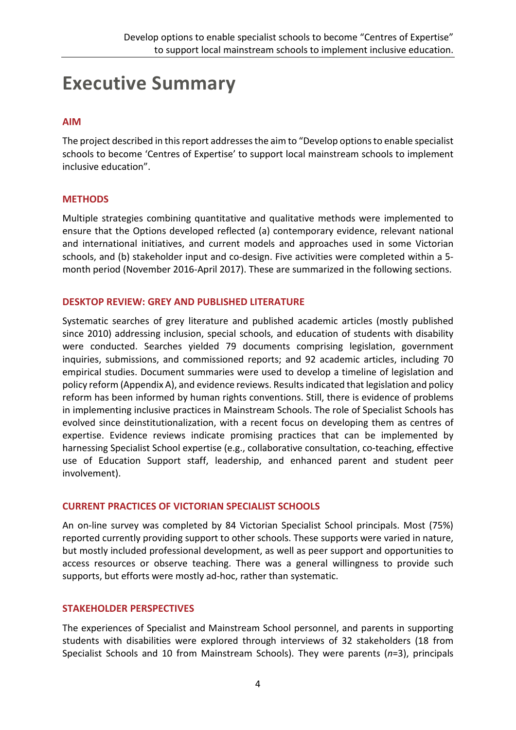# **Executive Summary**

### **AIM**

The project described in this report addresses the aim to "Develop options to enable specialist schools to become 'Centres of Expertise' to support local mainstream schools to implement inclusive education".

### **METHODS**

Multiple strategies combining quantitative and qualitative methods were implemented to ensure that the Options developed reflected (a) contemporary evidence, relevant national and international initiatives, and current models and approaches used in some Victorian schools, and (b) stakeholder input and co-design. Five activities were completed within a 5 month period (November 2016-April 2017). These are summarized in the following sections.

### **DESKTOP REVIEW: GREY AND PUBLISHED LITERATURE**

Systematic searches of grey literature and published academic articles (mostly published since 2010) addressing inclusion, special schools, and education of students with disability were conducted. Searches yielded 79 documents comprising legislation, government inquiries, submissions, and commissioned reports; and 92 academic articles, including 70 empirical studies. Document summaries were used to develop a timeline of legislation and policy reform (Appendix A), and evidence reviews. Results indicated that legislation and policy reform has been informed by human rights conventions. Still, there is evidence of problems in implementing inclusive practices in Mainstream Schools. The role of Specialist Schools has evolved since deinstitutionalization, with a recent focus on developing them as centres of expertise. Evidence reviews indicate promising practices that can be implemented by harnessing Specialist School expertise (e.g., collaborative consultation, co-teaching, effective use of Education Support staff, leadership, and enhanced parent and student peer involvement).

### **CURRENT PRACTICES OF VICTORIAN SPECIALIST SCHOOLS**

An on-line survey was completed by 84 Victorian Specialist School principals. Most (75%) reported currently providing support to other schools. These supports were varied in nature, but mostly included professional development, as well as peer support and opportunities to access resources or observe teaching. There was a general willingness to provide such supports, but efforts were mostly ad-hoc, rather than systematic.

#### **STAKEHOLDER PERSPECTIVES**

The experiences of Specialist and Mainstream School personnel, and parents in supporting students with disabilities were explored through interviews of 32 stakeholders (18 from Specialist Schools and 10 from Mainstream Schools). They were parents (*n*=3), principals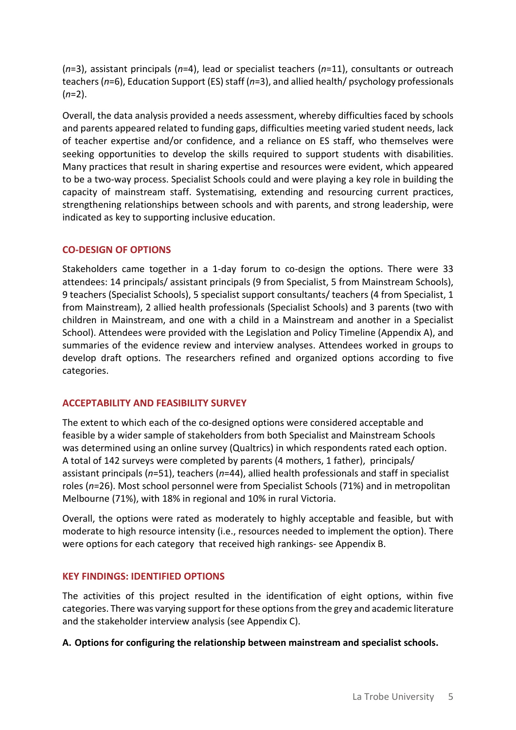(*n*=3), assistant principals (*n*=4), lead or specialist teachers (*n*=11), consultants or outreach teachers (*n*=6), Education Support (ES) staff (*n*=3), and allied health/ psychology professionals (*n*=2).

Overall, the data analysis provided a needs assessment, whereby difficulties faced by schools and parents appeared related to funding gaps, difficulties meeting varied student needs, lack of teacher expertise and/or confidence, and a reliance on ES staff, who themselves were seeking opportunities to develop the skills required to support students with disabilities. Many practices that result in sharing expertise and resources were evident, which appeared to be a two-way process. Specialist Schools could and were playing a key role in building the capacity of mainstream staff. Systematising, extending and resourcing current practices, strengthening relationships between schools and with parents, and strong leadership, were indicated as key to supporting inclusive education.

### **CO-DESIGN OF OPTIONS**

Stakeholders came together in a 1-day forum to co-design the options. There were 33 attendees: 14 principals/ assistant principals (9 from Specialist, 5 from Mainstream Schools), 9 teachers (Specialist Schools), 5 specialist support consultants/ teachers (4 from Specialist, 1 from Mainstream), 2 allied health professionals (Specialist Schools) and 3 parents (two with children in Mainstream, and one with a child in a Mainstream and another in a Specialist School). Attendees were provided with the Legislation and Policy Timeline (Appendix A), and summaries of the evidence review and interview analyses. Attendees worked in groups to develop draft options. The researchers refined and organized options according to five categories.

### **ACCEPTABILITY AND FEASIBILITY SURVEY**

The extent to which each of the co-designed options were considered acceptable and feasible by a wider sample of stakeholders from both Specialist and Mainstream Schools was determined using an online survey (Qualtrics) in which respondents rated each option. A total of 142 surveys were completed by parents (4 mothers, 1 father), principals/ assistant principals (*n*=51), teachers (*n*=44), allied health professionals and staff in specialist roles (*n*=26). Most school personnel were from Specialist Schools (71%) and in metropolitan Melbourne (71%), with 18% in regional and 10% in rural Victoria.

Overall, the options were rated as moderately to highly acceptable and feasible, but with moderate to high resource intensity (i.e., resources needed to implement the option). There were options for each category that received high rankings- see Appendix B.

### **KEY FINDINGS: IDENTIFIED OPTIONS**

The activities of this project resulted in the identification of eight options, within five categories. There was varying support for these options from the grey and academic literature and the stakeholder interview analysis (see Appendix C).

#### **A. Options for configuring the relationship between mainstream and specialist schools.**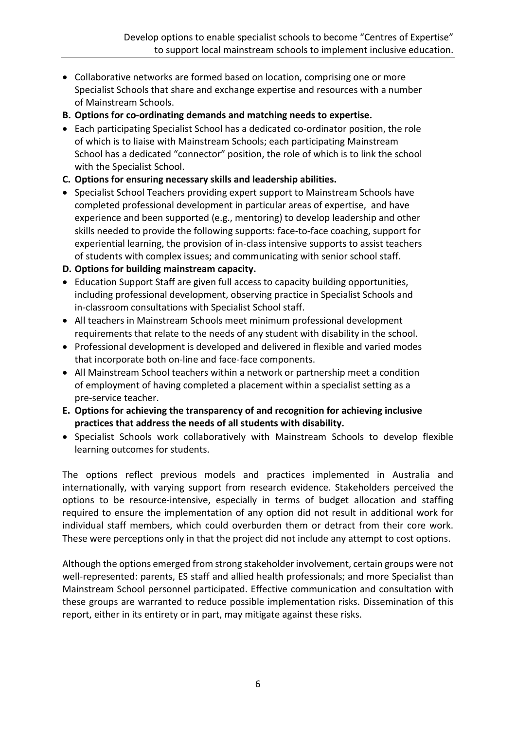- Collaborative networks are formed based on location, comprising one or more Specialist Schools that share and exchange expertise and resources with a number of Mainstream Schools.
- **B. Options for co-ordinating demands and matching needs to expertise.**
- Each participating Specialist School has a dedicated co-ordinator position, the role of which is to liaise with Mainstream Schools; each participating Mainstream School has a dedicated "connector" position, the role of which is to link the school with the Specialist School.
- **C. Options for ensuring necessary skills and leadership abilities.**
- Specialist School Teachers providing expert support to Mainstream Schools have completed professional development in particular areas of expertise, and have experience and been supported (e.g., mentoring) to develop leadership and other skills needed to provide the following supports: face-to-face coaching, support for experiential learning, the provision of in-class intensive supports to assist teachers of students with complex issues; and communicating with senior school staff.
- **D. Options for building mainstream capacity.**
- Education Support Staff are given full access to capacity building opportunities, including professional development, observing practice in Specialist Schools and in-classroom consultations with Specialist School staff.
- All teachers in Mainstream Schools meet minimum professional development requirements that relate to the needs of any student with disability in the school.
- Professional development is developed and delivered in flexible and varied modes that incorporate both on-line and face-face components.
- All Mainstream School teachers within a network or partnership meet a condition of employment of having completed a placement within a specialist setting as a pre-service teacher.
- **E. Options for achieving the transparency of and recognition for achieving inclusive practices that address the needs of all students with disability.**
- Specialist Schools work collaboratively with Mainstream Schools to develop flexible learning outcomes for students.

The options reflect previous models and practices implemented in Australia and internationally, with varying support from research evidence. Stakeholders perceived the options to be resource-intensive, especially in terms of budget allocation and staffing required to ensure the implementation of any option did not result in additional work for individual staff members, which could overburden them or detract from their core work. These were perceptions only in that the project did not include any attempt to cost options.

Although the options emerged from strong stakeholder involvement, certain groups were not well-represented: parents, ES staff and allied health professionals; and more Specialist than Mainstream School personnel participated. Effective communication and consultation with these groups are warranted to reduce possible implementation risks. Dissemination of this report, either in its entirety or in part, may mitigate against these risks.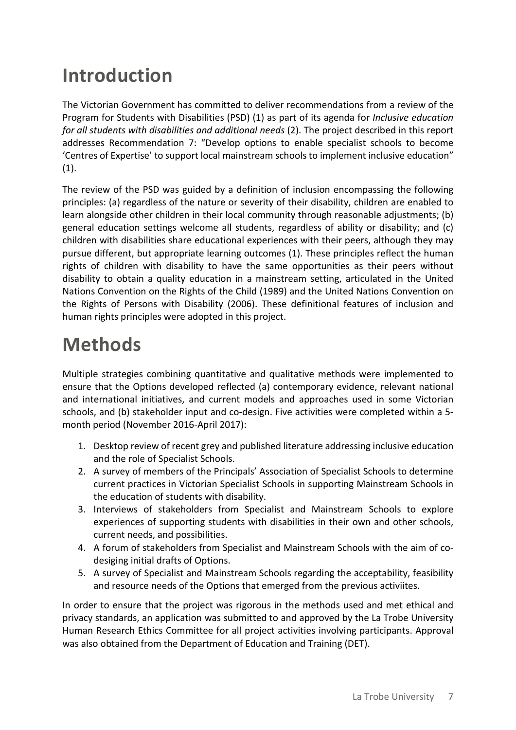# **Introduction**

The Victorian Government has committed to deliver recommendations from a review of the Program for Students with Disabilities (PSD) (1) as part of its agenda for *Inclusive education for all students with disabilities and additional needs* (2). The project described in this report addresses Recommendation 7: "Develop options to enable specialist schools to become 'Centres of Expertise' to support local mainstream schools to implement inclusive education"  $(1).$ 

The review of the PSD was guided by a definition of inclusion encompassing the following principles: (a) regardless of the nature or severity of their disability, children are enabled to learn alongside other children in their local community through reasonable adjustments; (b) general education settings welcome all students, regardless of ability or disability; and (c) children with disabilities share educational experiences with their peers, although they may pursue different, but appropriate learning outcomes (1). These principles reflect the human rights of children with disability to have the same opportunities as their peers without disability to obtain a quality education in a mainstream setting, articulated in the United Nations Convention on the Rights of the Child (1989) and the United Nations Convention on the Rights of Persons with Disability (2006). These definitional features of inclusion and human rights principles were adopted in this project.

# **Methods**

Multiple strategies combining quantitative and qualitative methods were implemented to ensure that the Options developed reflected (a) contemporary evidence, relevant national and international initiatives, and current models and approaches used in some Victorian schools, and (b) stakeholder input and co-design. Five activities were completed within a 5 month period (November 2016-April 2017):

- 1. Desktop review of recent grey and published literature addressing inclusive education and the role of Specialist Schools.
- 2. A survey of members of the Principals' Association of Specialist Schools to determine current practices in Victorian Specialist Schools in supporting Mainstream Schools in the education of students with disability.
- 3. Interviews of stakeholders from Specialist and Mainstream Schools to explore experiences of supporting students with disabilities in their own and other schools, current needs, and possibilities.
- 4. A forum of stakeholders from Specialist and Mainstream Schools with the aim of codesiging initial drafts of Options.
- 5. A survey of Specialist and Mainstream Schools regarding the acceptability, feasibility and resource needs of the Options that emerged from the previous activiites.

In order to ensure that the project was rigorous in the methods used and met ethical and privacy standards, an application was submitted to and approved by the La Trobe University Human Research Ethics Committee for all project activities involving participants. Approval was also obtained from the Department of Education and Training (DET).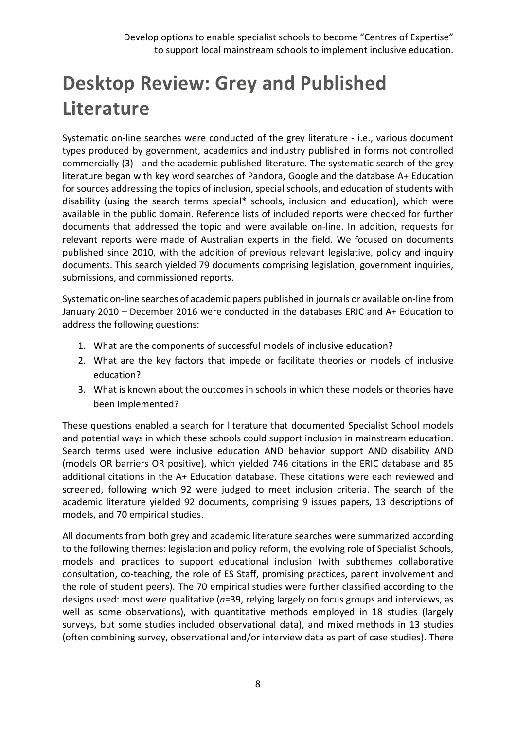# **Desktop Review: Grey and Published Literature**

Systematic on-line searches were conducted of the grey literature - i.e., various document types produced by government, academics and industry published in forms not controlled commercially (3) - and the academic published literature. The systematic search of the grey literature began with key word searches of Pandora, Google and the database A+ Education for sources addressing the topics of inclusion, special schools, and education of students with disability (using the search terms special\* schools, inclusion and education), which were available in the public domain. Reference lists of included reports were checked for further documents that addressed the topic and were available on-line. In addition, requests for relevant reports were made of Australian experts in the field. We focused on documents published since 2010, with the addition of previous relevant legislative, policy and inquiry documents. This search yielded 79 documents comprising legislation, government inquiries, submissions, and commissioned reports.

Systematic on-line searches of academic papers published in journals or available on-line from January 2010 – December 2016 were conducted in the databases ERIC and A+ Education to address the following questions:

- 1. What are the components of successful models of inclusive education?
- 2. What are the key factors that impede or facilitate theories or models of inclusive education?
- 3. What is known about the outcomes in schools in which these models or theories have been implemented?

These questions enabled a search for literature that documented Specialist School models and potential ways in which these schools could support inclusion in mainstream education. Search terms used were inclusive education AND behavior support AND disability AND (models OR barriers OR positive), which yielded 746 citations in the ERIC database and 85 additional citations in the A+ Education database. These citations were each reviewed and screened, following which 92 were judged to meet inclusion criteria. The search of the academic literature yielded 92 documents, comprising 9 issues papers, 13 descriptions of models, and 70 empirical studies.

All documents from both grey and academic literature searches were summarized according to the following themes: legislation and policy reform, the evolving role of Specialist Schools, models and practices to support educational inclusion (with subthemes collaborative consultation, co-teaching, the role of ES Staff, promising practices, parent involvement and the role of student peers). The 70 empirical studies were further classified according to the designs used: most were qualitative (*n*=39, relying largely on focus groups and interviews, as well as some observations), with quantitative methods employed in 18 studies (largely surveys, but some studies included observational data), and mixed methods in 13 studies (often combining survey, observational and/or interview data as part of case studies). There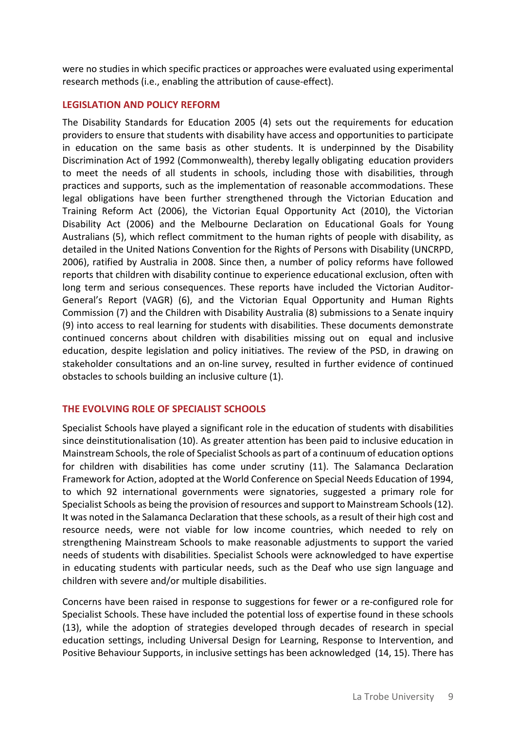were no studies in which specific practices or approaches were evaluated using experimental research methods (i.e., enabling the attribution of cause-effect).

#### **LEGISLATION AND POLICY REFORM**

The Disability Standards for Education 2005 (4) sets out the requirements for education providers to ensure that students with disability have access and opportunities to participate in education on the same basis as other students. It is underpinned by the Disability Discrimination Act of 1992 (Commonwealth), thereby legally obligating education providers to meet the needs of all students in schools, including those with disabilities, through practices and supports, such as the implementation of reasonable accommodations. These legal obligations have been further strengthened through the Victorian Education and Training Reform Act (2006), the Victorian Equal Opportunity Act (2010), the Victorian Disability Act (2006) and the Melbourne Declaration on Educational Goals for Young Australians (5), which reflect commitment to the human rights of people with disability, as detailed in the United Nations Convention for the Rights of Persons with Disability (UNCRPD, 2006), ratified by Australia in 2008. Since then, a number of policy reforms have followed reports that children with disability continue to experience educational exclusion, often with long term and serious consequences. These reports have included the Victorian Auditor-General's Report (VAGR) (6), and the Victorian Equal Opportunity and Human Rights Commission (7) and the Children with Disability Australia (8) submissions to a Senate inquiry (9) into access to real learning for students with disabilities. These documents demonstrate continued concerns about children with disabilities missing out on equal and inclusive education, despite legislation and policy initiatives. The review of the PSD, in drawing on stakeholder consultations and an on-line survey, resulted in further evidence of continued obstacles to schools building an inclusive culture (1).

### **THE EVOLVING ROLE OF SPECIALIST SCHOOLS**

Specialist Schools have played a significant role in the education of students with disabilities since deinstitutionalisation (10). As greater attention has been paid to inclusive education in Mainstream Schools, the role of Specialist Schools as part of a continuum of education options for children with disabilities has come under scrutiny (11). The Salamanca Declaration Framework for Action, adopted at the World Conference on Special Needs Education of 1994, to which 92 international governments were signatories, suggested a primary role for Specialist Schools as being the provision of resources and support to Mainstream Schools(12). It was noted in the Salamanca Declaration that these schools, as a result of their high cost and resource needs, were not viable for low income countries, which needed to rely on strengthening Mainstream Schools to make reasonable adjustments to support the varied needs of students with disabilities. Specialist Schools were acknowledged to have expertise in educating students with particular needs, such as the Deaf who use sign language and children with severe and/or multiple disabilities.

Concerns have been raised in response to suggestions for fewer or a re-configured role for Specialist Schools. These have included the potential loss of expertise found in these schools (13), while the adoption of strategies developed through decades of research in special education settings, including Universal Design for Learning, Response to Intervention, and Positive Behaviour Supports, in inclusive settings has been acknowledged (14, 15). There has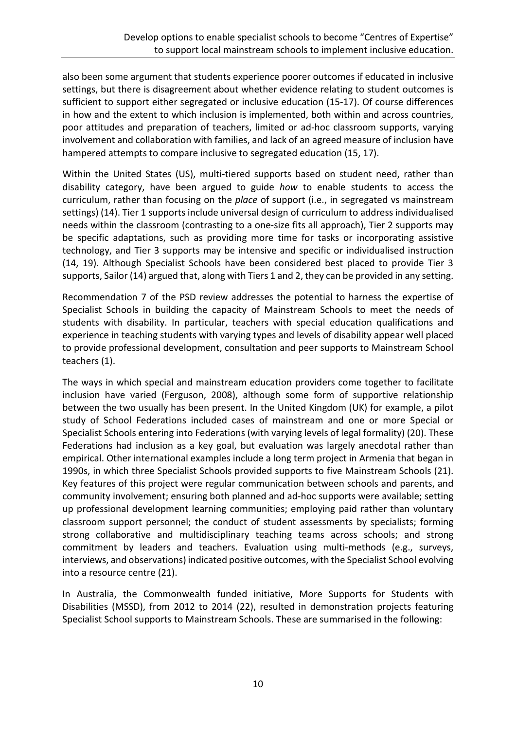also been some argument that students experience poorer outcomes if educated in inclusive settings, but there is disagreement about whether evidence relating to student outcomes is sufficient to support either segregated or inclusive education (15-17). Of course differences in how and the extent to which inclusion is implemented, both within and across countries, poor attitudes and preparation of teachers, limited or ad-hoc classroom supports, varying involvement and collaboration with families, and lack of an agreed measure of inclusion have hampered attempts to compare inclusive to segregated education (15, 17).

Within the United States (US), multi-tiered supports based on student need, rather than disability category, have been argued to guide *how* to enable students to access the curriculum, rather than focusing on the *place* of support (i.e., in segregated vs mainstream settings) (14). Tier 1 supports include universal design of curriculum to address individualised needs within the classroom (contrasting to a one-size fits all approach), Tier 2 supports may be specific adaptations, such as providing more time for tasks or incorporating assistive technology, and Tier 3 supports may be intensive and specific or individualised instruction (14, 19). Although Specialist Schools have been considered best placed to provide Tier 3 supports, Sailor (14) argued that, along with Tiers 1 and 2, they can be provided in any setting.

Recommendation 7 of the PSD review addresses the potential to harness the expertise of Specialist Schools in building the capacity of Mainstream Schools to meet the needs of students with disability. In particular, teachers with special education qualifications and experience in teaching students with varying types and levels of disability appear well placed to provide professional development, consultation and peer supports to Mainstream School teachers (1).

The ways in which special and mainstream education providers come together to facilitate inclusion have varied (Ferguson, 2008), although some form of supportive relationship between the two usually has been present. In the United Kingdom (UK) for example, a pilot study of School Federations included cases of mainstream and one or more Special or Specialist Schools entering into Federations (with varying levels of legal formality) (20). These Federations had inclusion as a key goal, but evaluation was largely anecdotal rather than empirical. Other international examples include a long term project in Armenia that began in 1990s, in which three Specialist Schools provided supports to five Mainstream Schools (21). Key features of this project were regular communication between schools and parents, and community involvement; ensuring both planned and ad-hoc supports were available; setting up professional development learning communities; employing paid rather than voluntary classroom support personnel; the conduct of student assessments by specialists; forming strong collaborative and multidisciplinary teaching teams across schools; and strong commitment by leaders and teachers. Evaluation using multi-methods (e.g., surveys, interviews, and observations) indicated positive outcomes, with the Specialist School evolving into a resource centre (21).

In Australia, the Commonwealth funded initiative, More Supports for Students with Disabilities (MSSD), from 2012 to 2014 (22), resulted in demonstration projects featuring Specialist School supports to Mainstream Schools. These are summarised in the following: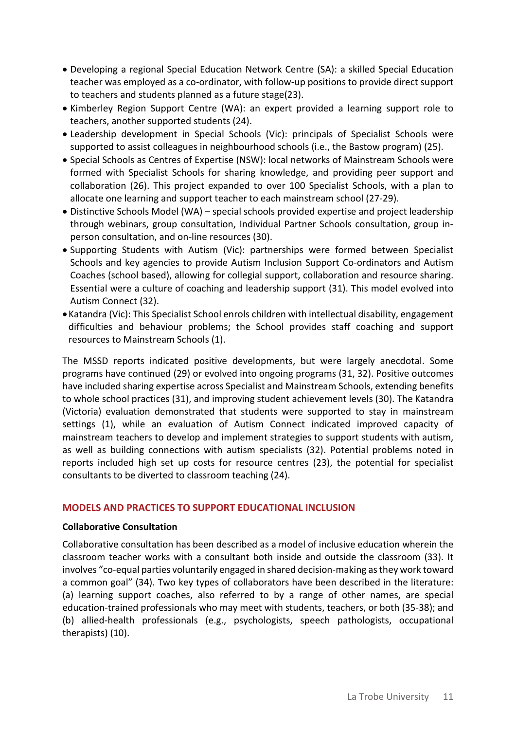- Developing a regional Special Education Network Centre (SA): a skilled Special Education teacher was employed as a co-ordinator, with follow-up positions to provide direct support to teachers and students planned as a future stage(23).
- Kimberley Region Support Centre (WA): an expert provided a learning support role to teachers, another supported students (24).
- Leadership development in Special Schools (Vic): principals of Specialist Schools were supported to assist colleagues in neighbourhood schools (i.e., the Bastow program) (25).
- Special Schools as Centres of Expertise (NSW): local networks of Mainstream Schools were formed with Specialist Schools for sharing knowledge, and providing peer support and collaboration (26). This project expanded to over 100 Specialist Schools, with a plan to allocate one learning and support teacher to each mainstream school (27-29).
- Distinctive Schools Model (WA) special schools provided expertise and project leadership through webinars, group consultation, Individual Partner Schools consultation, group inperson consultation, and on-line resources (30).
- Supporting Students with Autism (Vic): partnerships were formed between Specialist Schools and key agencies to provide Autism Inclusion Support Co-ordinators and Autism Coaches (school based), allowing for collegial support, collaboration and resource sharing. Essential were a culture of coaching and leadership support (31). This model evolved into Autism Connect (32).
- •Katandra (Vic): This Specialist School enrols children with intellectual disability, engagement difficulties and behaviour problems; the School provides staff coaching and support resources to Mainstream Schools (1).

The MSSD reports indicated positive developments, but were largely anecdotal. Some programs have continued (29) or evolved into ongoing programs (31, 32). Positive outcomes have included sharing expertise across Specialist and Mainstream Schools, extending benefits to whole school practices (31), and improving student achievement levels (30). The Katandra (Victoria) evaluation demonstrated that students were supported to stay in mainstream settings (1), while an evaluation of Autism Connect indicated improved capacity of mainstream teachers to develop and implement strategies to support students with autism, as well as building connections with autism specialists (32). Potential problems noted in reports included high set up costs for resource centres (23), the potential for specialist consultants to be diverted to classroom teaching (24).

### **MODELS AND PRACTICES TO SUPPORT EDUCATIONAL INCLUSION**

#### **Collaborative Consultation**

Collaborative consultation has been described as a model of inclusive education wherein the classroom teacher works with a consultant both inside and outside the classroom (33). It involves "co-equal parties voluntarily engaged in shared decision-making as they work toward a common goal" (34). Two key types of collaborators have been described in the literature: (a) learning support coaches, also referred to by a range of other names, are special education-trained professionals who may meet with students, teachers, or both (35-38); and (b) allied-health professionals (e.g., psychologists, speech pathologists, occupational therapists) (10).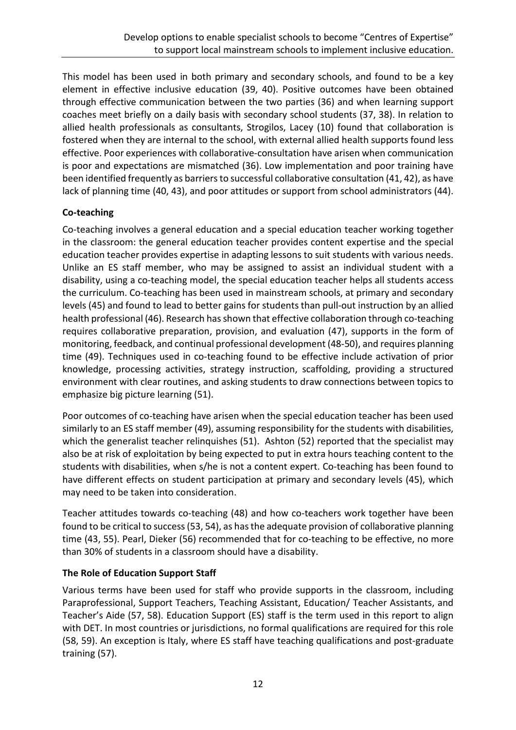This model has been used in both primary and secondary schools, and found to be a key element in effective inclusive education (39, 40). Positive outcomes have been obtained through effective communication between the two parties (36) and when learning support coaches meet briefly on a daily basis with secondary school students (37, 38). In relation to allied health professionals as consultants, Strogilos, Lacey (10) found that collaboration is fostered when they are internal to the school, with external allied health supports found less effective. Poor experiences with collaborative-consultation have arisen when communication is poor and expectations are mismatched (36). Low implementation and poor training have been identified frequently as barriers to successful collaborative consultation (41, 42), as have lack of planning time (40, 43), and poor attitudes or support from school administrators (44).

## **Co-teaching**

Co-teaching involves a general education and a special education teacher working together in the classroom: the general education teacher provides content expertise and the special education teacher provides expertise in adapting lessons to suit students with various needs. Unlike an ES staff member, who may be assigned to assist an individual student with a disability, using a co-teaching model, the special education teacher helps all students access the curriculum. Co-teaching has been used in mainstream schools, at primary and secondary levels (45) and found to lead to better gains for students than pull-out instruction by an allied health professional (46). Research has shown that effective collaboration through co-teaching requires collaborative preparation, provision, and evaluation (47), supports in the form of monitoring, feedback, and continual professional development (48-50), and requires planning time (49). Techniques used in co-teaching found to be effective include activation of prior knowledge, processing activities, strategy instruction, scaffolding, providing a structured environment with clear routines, and asking students to draw connections between topics to emphasize big picture learning (51).

Poor outcomes of co-teaching have arisen when the special education teacher has been used similarly to an ES staff member (49), assuming responsibility for the students with disabilities, which the generalist teacher relinquishes (51). Ashton (52) reported that the specialist may also be at risk of exploitation by being expected to put in extra hours teaching content to the students with disabilities, when s/he is not a content expert. Co-teaching has been found to have different effects on student participation at primary and secondary levels (45), which may need to be taken into consideration.

Teacher attitudes towards co-teaching (48) and how co-teachers work together have been found to be critical to success(53, 54), as has the adequate provision of collaborative planning time (43, 55). Pearl, Dieker (56) recommended that for co-teaching to be effective, no more than 30% of students in a classroom should have a disability.

## **The Role of Education Support Staff**

Various terms have been used for staff who provide supports in the classroom, including Paraprofessional, Support Teachers, Teaching Assistant, Education/ Teacher Assistants, and Teacher's Aide (57, 58). Education Support (ES) staff is the term used in this report to align with DET. In most countries or jurisdictions, no formal qualifications are required for this role (58, 59). An exception is Italy, where ES staff have teaching qualifications and post-graduate training (57).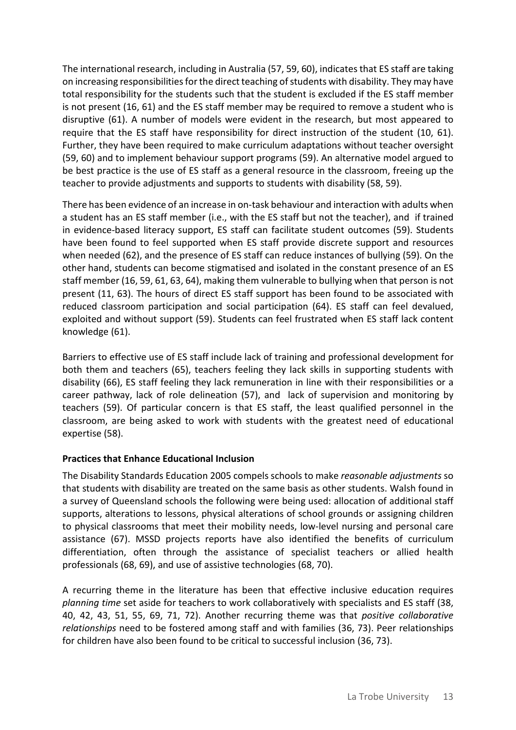The international research, including in Australia (57, 59, 60), indicates that ES staff are taking on increasing responsibilities for the direct teaching of students with disability. They may have total responsibility for the students such that the student is excluded if the ES staff member is not present (16, 61) and the ES staff member may be required to remove a student who is disruptive (61). A number of models were evident in the research, but most appeared to require that the ES staff have responsibility for direct instruction of the student (10, 61). Further, they have been required to make curriculum adaptations without teacher oversight (59, 60) and to implement behaviour support programs (59). An alternative model argued to be best practice is the use of ES staff as a general resource in the classroom, freeing up the teacher to provide adjustments and supports to students with disability (58, 59).

There has been evidence of an increase in on-task behaviour and interaction with adults when a student has an ES staff member (i.e., with the ES staff but not the teacher), and if trained in evidence-based literacy support, ES staff can facilitate student outcomes (59). Students have been found to feel supported when ES staff provide discrete support and resources when needed (62), and the presence of ES staff can reduce instances of bullying (59). On the other hand, students can become stigmatised and isolated in the constant presence of an ES staff member (16, 59, 61, 63, 64), making them vulnerable to bullying when that person is not present (11, 63). The hours of direct ES staff support has been found to be associated with reduced classroom participation and social participation (64). ES staff can feel devalued, exploited and without support (59). Students can feel frustrated when ES staff lack content knowledge (61).

Barriers to effective use of ES staff include lack of training and professional development for both them and teachers (65), teachers feeling they lack skills in supporting students with disability (66), ES staff feeling they lack remuneration in line with their responsibilities or a career pathway, lack of role delineation (57), and lack of supervision and monitoring by teachers (59). Of particular concern is that ES staff, the least qualified personnel in the classroom, are being asked to work with students with the greatest need of educational expertise (58).

## **Practices that Enhance Educational Inclusion**

The Disability Standards Education 2005 compels schools to make *reasonable adjustments* so that students with disability are treated on the same basis as other students. Walsh found in a survey of Queensland schools the following were being used: allocation of additional staff supports, alterations to lessons, physical alterations of school grounds or assigning children to physical classrooms that meet their mobility needs, low-level nursing and personal care assistance (67). MSSD projects reports have also identified the benefits of curriculum differentiation, often through the assistance of specialist teachers or allied health professionals (68, 69), and use of assistive technologies (68, 70).

A recurring theme in the literature has been that effective inclusive education requires *planning time* set aside for teachers to work collaboratively with specialists and ES staff (38, 40, 42, 43, 51, 55, 69, 71, 72). Another recurring theme was that *positive collaborative relationships* need to be fostered among staff and with families (36, 73). Peer relationships for children have also been found to be critical to successful inclusion (36, 73).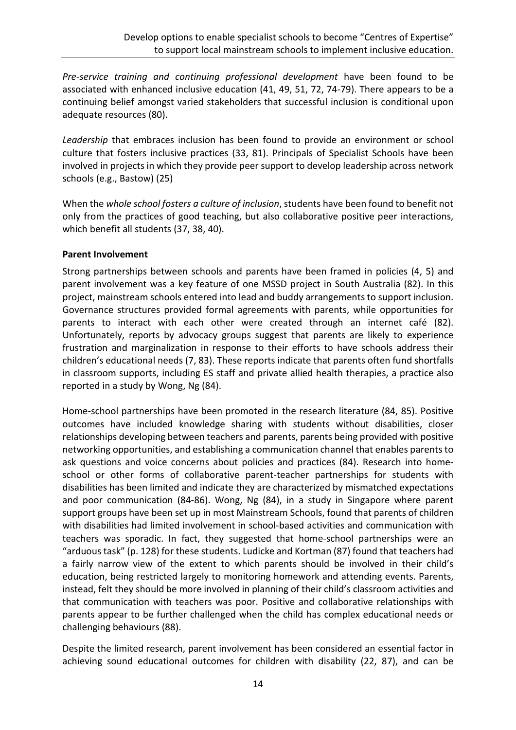*Pre-service training and continuing professional development* have been found to be associated with enhanced inclusive education (41, 49, 51, 72, 74-79). There appears to be a continuing belief amongst varied stakeholders that successful inclusion is conditional upon adequate resources (80).

*Leadership* that embraces inclusion has been found to provide an environment or school culture that fosters inclusive practices (33, 81). Principals of Specialist Schools have been involved in projects in which they provide peer support to develop leadership across network schools (e.g., Bastow) (25)

When the *whole school fosters a culture of inclusion*, students have been found to benefit not only from the practices of good teaching, but also collaborative positive peer interactions, which benefit all students (37, 38, 40).

### **Parent Involvement**

Strong partnerships between schools and parents have been framed in policies (4, 5) and parent involvement was a key feature of one MSSD project in South Australia (82). In this project, mainstream schools entered into lead and buddy arrangements to support inclusion. Governance structures provided formal agreements with parents, while opportunities for parents to interact with each other were created through an internet café (82). Unfortunately, reports by advocacy groups suggest that parents are likely to experience frustration and marginalization in response to their efforts to have schools address their children's educational needs (7, 83). These reports indicate that parents often fund shortfalls in classroom supports, including ES staff and private allied health therapies, a practice also reported in a study by Wong, Ng (84).

Home-school partnerships have been promoted in the research literature (84, 85). Positive outcomes have included knowledge sharing with students without disabilities, closer relationships developing between teachers and parents, parents being provided with positive networking opportunities, and establishing a communication channel that enables parents to ask questions and voice concerns about policies and practices (84). Research into homeschool or other forms of collaborative parent-teacher partnerships for students with disabilities has been limited and indicate they are characterized by mismatched expectations and poor communication (84-86). Wong, Ng (84), in a study in Singapore where parent support groups have been set up in most Mainstream Schools, found that parents of children with disabilities had limited involvement in school-based activities and communication with teachers was sporadic. In fact, they suggested that home-school partnerships were an "arduous task" (p. 128) for these students. Ludicke and Kortman (87) found that teachers had a fairly narrow view of the extent to which parents should be involved in their child's education, being restricted largely to monitoring homework and attending events. Parents, instead, felt they should be more involved in planning of their child's classroom activities and that communication with teachers was poor. Positive and collaborative relationships with parents appear to be further challenged when the child has complex educational needs or challenging behaviours (88).

Despite the limited research, parent involvement has been considered an essential factor in achieving sound educational outcomes for children with disability (22, 87), and can be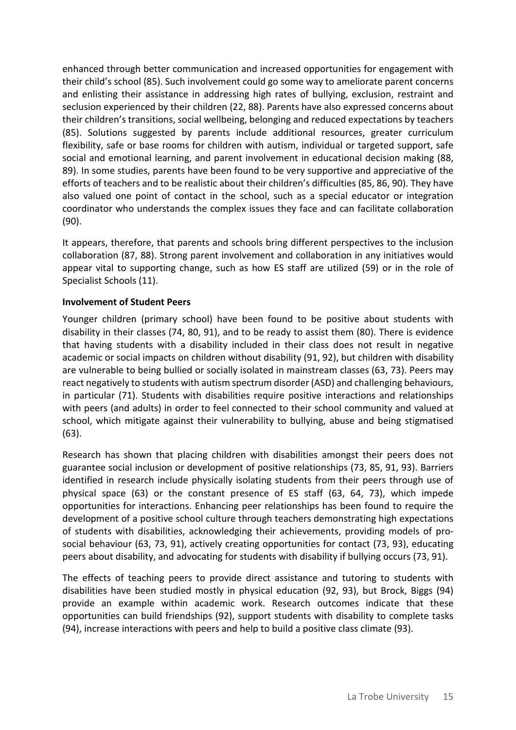enhanced through better communication and increased opportunities for engagement with their child's school (85). Such involvement could go some way to ameliorate parent concerns and enlisting their assistance in addressing high rates of bullying, exclusion, restraint and seclusion experienced by their children (22, 88). Parents have also expressed concerns about their children's transitions, social wellbeing, belonging and reduced expectations by teachers (85). Solutions suggested by parents include additional resources, greater curriculum flexibility, safe or base rooms for children with autism, individual or targeted support, safe social and emotional learning, and parent involvement in educational decision making (88, 89). In some studies, parents have been found to be very supportive and appreciative of the efforts of teachers and to be realistic about their children's difficulties (85, 86, 90). They have also valued one point of contact in the school, such as a special educator or integration coordinator who understands the complex issues they face and can facilitate collaboration (90).

It appears, therefore, that parents and schools bring different perspectives to the inclusion collaboration (87, 88). Strong parent involvement and collaboration in any initiatives would appear vital to supporting change, such as how ES staff are utilized (59) or in the role of Specialist Schools (11).

### **Involvement of Student Peers**

Younger children (primary school) have been found to be positive about students with disability in their classes (74, 80, 91), and to be ready to assist them (80). There is evidence that having students with a disability included in their class does not result in negative academic or social impacts on children without disability (91, 92), but children with disability are vulnerable to being bullied or socially isolated in mainstream classes (63, 73). Peers may react negatively to students with autism spectrum disorder (ASD) and challenging behaviours, in particular (71). Students with disabilities require positive interactions and relationships with peers (and adults) in order to feel connected to their school community and valued at school, which mitigate against their vulnerability to bullying, abuse and being stigmatised (63).

Research has shown that placing children with disabilities amongst their peers does not guarantee social inclusion or development of positive relationships (73, 85, 91, 93). Barriers identified in research include physically isolating students from their peers through use of physical space (63) or the constant presence of ES staff (63, 64, 73), which impede opportunities for interactions. Enhancing peer relationships has been found to require the development of a positive school culture through teachers demonstrating high expectations of students with disabilities, acknowledging their achievements, providing models of prosocial behaviour (63, 73, 91), actively creating opportunities for contact (73, 93), educating peers about disability, and advocating for students with disability if bullying occurs (73, 91).

The effects of teaching peers to provide direct assistance and tutoring to students with disabilities have been studied mostly in physical education (92, 93), but Brock, Biggs (94) provide an example within academic work. Research outcomes indicate that these opportunities can build friendships (92), support students with disability to complete tasks (94), increase interactions with peers and help to build a positive class climate (93).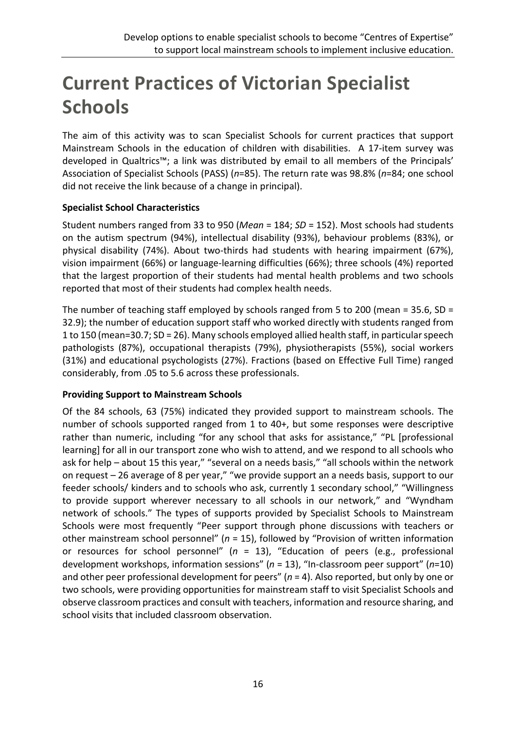# **Current Practices of Victorian Specialist Schools**

The aim of this activity was to scan Specialist Schools for current practices that support Mainstream Schools in the education of children with disabilities. A 17-item survey was developed in Qualtrics™; a link was distributed by email to all members of the Principals' Association of Specialist Schools (PASS) (*n*=85). The return rate was 98.8% (*n*=84; one school did not receive the link because of a change in principal).

## **Specialist School Characteristics**

Student numbers ranged from 33 to 950 (*Mean* = 184; *SD* = 152). Most schools had students on the autism spectrum (94%), intellectual disability (93%), behaviour problems (83%), or physical disability (74%). About two-thirds had students with hearing impairment (67%), vision impairment (66%) or language-learning difficulties (66%); three schools (4%) reported that the largest proportion of their students had mental health problems and two schools reported that most of their students had complex health needs.

The number of teaching staff employed by schools ranged from 5 to 200 (mean = 35.6, SD = 32.9); the number of education support staff who worked directly with students ranged from 1 to 150 (mean=30.7; SD = 26). Many schools employed allied health staff, in particular speech pathologists (87%), occupational therapists (79%), physiotherapists (55%), social workers (31%) and educational psychologists (27%). Fractions (based on Effective Full Time) ranged considerably, from .05 to 5.6 across these professionals.

## **Providing Support to Mainstream Schools**

Of the 84 schools, 63 (75%) indicated they provided support to mainstream schools. The number of schools supported ranged from 1 to 40+, but some responses were descriptive rather than numeric, including "for any school that asks for assistance," "PL [professional learning] for all in our transport zone who wish to attend, and we respond to all schools who ask for help – about 15 this year," "several on a needs basis," "all schools within the network on request – 26 average of 8 per year," "we provide support an a needs basis, support to our feeder schools/ kinders and to schools who ask, currently 1 secondary school," "Willingness to provide support wherever necessary to all schools in our network," and "Wyndham network of schools." The types of supports provided by Specialist Schools to Mainstream Schools were most frequently "Peer support through phone discussions with teachers or other mainstream school personnel" (*n* = 15), followed by "Provision of written information or resources for school personnel" (*n* = 13), "Education of peers (e.g., professional development workshops, information sessions" (*n* = 13), "In-classroom peer support" (*n*=10) and other peer professional development for peers" (*n* = 4). Also reported, but only by one or two schools, were providing opportunities for mainstream staff to visit Specialist Schools and observe classroom practices and consult with teachers, information and resource sharing, and school visits that included classroom observation.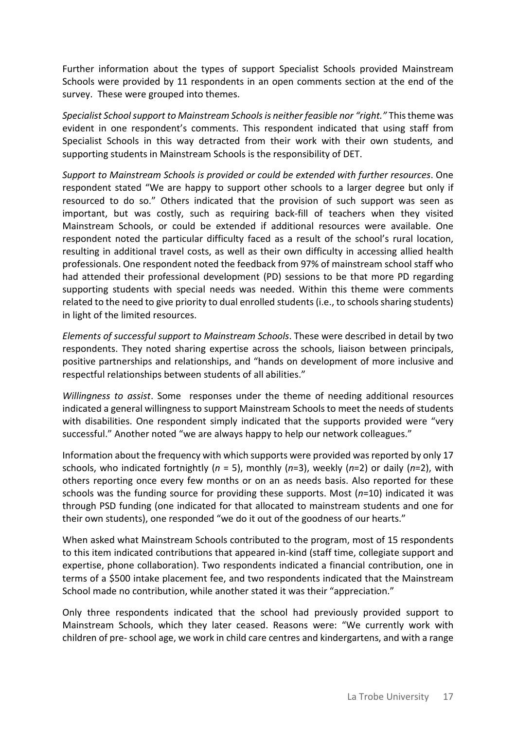Further information about the types of support Specialist Schools provided Mainstream Schools were provided by 11 respondents in an open comments section at the end of the survey. These were grouped into themes.

*Specialist School support to Mainstream Schools is neither feasible nor "right."* This theme was evident in one respondent's comments. This respondent indicated that using staff from Specialist Schools in this way detracted from their work with their own students, and supporting students in Mainstream Schools is the responsibility of DET.

*Support to Mainstream Schools is provided or could be extended with further resources*. One respondent stated "We are happy to support other schools to a larger degree but only if resourced to do so." Others indicated that the provision of such support was seen as important, but was costly, such as requiring back-fill of teachers when they visited Mainstream Schools, or could be extended if additional resources were available. One respondent noted the particular difficulty faced as a result of the school's rural location, resulting in additional travel costs, as well as their own difficulty in accessing allied health professionals. One respondent noted the feedback from 97% of mainstream school staff who had attended their professional development (PD) sessions to be that more PD regarding supporting students with special needs was needed. Within this theme were comments related to the need to give priority to dual enrolled students (i.e., to schools sharing students) in light of the limited resources.

*Elements of successful support to Mainstream Schools*. These were described in detail by two respondents. They noted sharing expertise across the schools, liaison between principals, positive partnerships and relationships, and "hands on development of more inclusive and respectful relationships between students of all abilities."

*Willingness to assist*. Some responses under the theme of needing additional resources indicated a general willingness to support Mainstream Schools to meet the needs of students with disabilities. One respondent simply indicated that the supports provided were "very successful." Another noted "we are always happy to help our network colleagues."

Information about the frequency with which supports were provided was reported by only 17 schools, who indicated fortnightly (*n* = 5), monthly (*n*=3), weekly (*n*=2) or daily (*n*=2), with others reporting once every few months or on an as needs basis. Also reported for these schools was the funding source for providing these supports. Most (*n*=10) indicated it was through PSD funding (one indicated for that allocated to mainstream students and one for their own students), one responded "we do it out of the goodness of our hearts."

When asked what Mainstream Schools contributed to the program, most of 15 respondents to this item indicated contributions that appeared in-kind (staff time, collegiate support and expertise, phone collaboration). Two respondents indicated a financial contribution, one in terms of a \$500 intake placement fee, and two respondents indicated that the Mainstream School made no contribution, while another stated it was their "appreciation."

Only three respondents indicated that the school had previously provided support to Mainstream Schools, which they later ceased. Reasons were: "We currently work with children of pre- school age, we work in child care centres and kindergartens, and with a range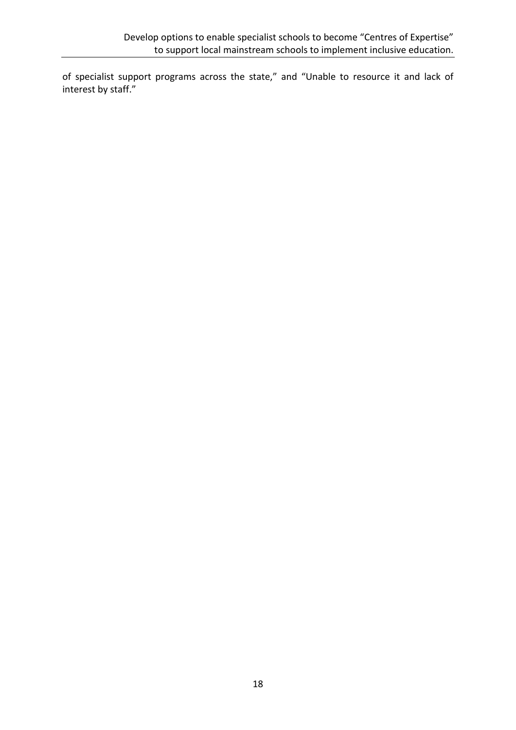of specialist support programs across the state," and "Unable to resource it and lack of interest by staff."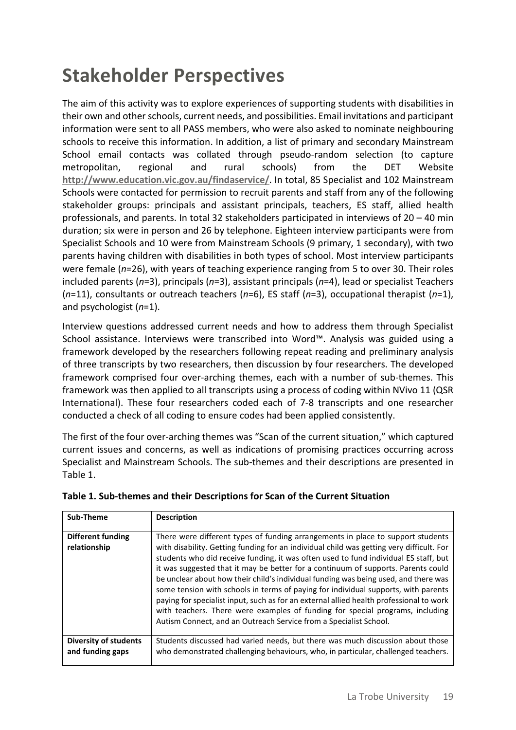# **Stakeholder Perspectives**

The aim of this activity was to explore experiences of supporting students with disabilities in their own and other schools, current needs, and possibilities. Email invitations and participant information were sent to all PASS members, who were also asked to nominate neighbouring schools to receive this information. In addition, a list of primary and secondary Mainstream School email contacts was collated through pseudo-random selection (to capture metropolitan, regional and rural schools) from the DET Website **<http://www.education.vic.gov.au/findaservice/>**. In total, 85 Specialist and 102 Mainstream Schools were contacted for permission to recruit parents and staff from any of the following stakeholder groups: principals and assistant principals, teachers, ES staff, allied health professionals, and parents. In total 32 stakeholders participated in interviews of 20 – 40 min duration; six were in person and 26 by telephone. Eighteen interview participants were from Specialist Schools and 10 were from Mainstream Schools (9 primary, 1 secondary), with two parents having children with disabilities in both types of school. Most interview participants were female (*n*=26), with years of teaching experience ranging from 5 to over 30. Their roles included parents (*n*=3), principals (*n*=3), assistant principals (*n*=4), lead or specialist Teachers (*n*=11), consultants or outreach teachers (*n*=6), ES staff (*n*=3), occupational therapist (*n*=1), and psychologist (*n*=1).

Interview questions addressed current needs and how to address them through Specialist School assistance. Interviews were transcribed into Word™. Analysis was guided using a framework developed by the researchers following repeat reading and preliminary analysis of three transcripts by two researchers, then discussion by four researchers. The developed framework comprised four over-arching themes, each with a number of sub-themes. This framework was then applied to all transcripts using a process of coding within NVivo 11 (QSR International). These four researchers coded each of 7-8 transcripts and one researcher conducted a check of all coding to ensure codes had been applied consistently.

The first of the four over-arching themes was "Scan of the current situation," which captured current issues and concerns, as well as indications of promising practices occurring across Specialist and Mainstream Schools. The sub-themes and their descriptions are presented in Table 1.

| Sub-Theme                                        | <b>Description</b>                                                                                                                                                                                                                                                                                                                                                                                                                                                                                                                                                                                                                                                                                                                                                                     |
|--------------------------------------------------|----------------------------------------------------------------------------------------------------------------------------------------------------------------------------------------------------------------------------------------------------------------------------------------------------------------------------------------------------------------------------------------------------------------------------------------------------------------------------------------------------------------------------------------------------------------------------------------------------------------------------------------------------------------------------------------------------------------------------------------------------------------------------------------|
| <b>Different funding</b><br>relationship         | There were different types of funding arrangements in place to support students<br>with disability. Getting funding for an individual child was getting very difficult. For<br>students who did receive funding, it was often used to fund individual ES staff, but<br>it was suggested that it may be better for a continuum of supports. Parents could<br>be unclear about how their child's individual funding was being used, and there was<br>some tension with schools in terms of paying for individual supports, with parents<br>paying for specialist input, such as for an external allied health professional to work<br>with teachers. There were examples of funding for special programs, including<br>Autism Connect, and an Outreach Service from a Specialist School. |
| <b>Diversity of students</b><br>and funding gaps | Students discussed had varied needs, but there was much discussion about those<br>who demonstrated challenging behaviours, who, in particular, challenged teachers.                                                                                                                                                                                                                                                                                                                                                                                                                                                                                                                                                                                                                    |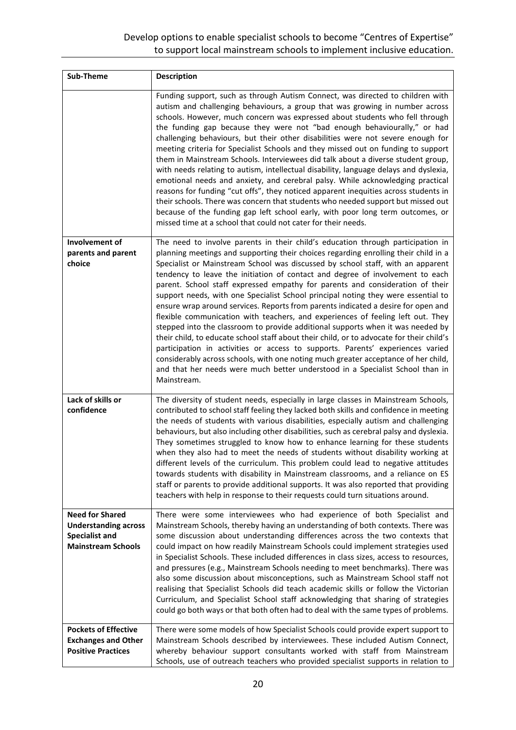## Develop options to enable specialist schools to become "Centres of Expertise" to support local mainstream schools to implement inclusive education.

| Sub-Theme                                                                                                   | <b>Description</b>                                                                                                                                                                                                                                                                                                                                                                                                                                                                                                                                                                                                                                                                                                                                                                                                                                                                                                                                                                                                                                                                                                                              |
|-------------------------------------------------------------------------------------------------------------|-------------------------------------------------------------------------------------------------------------------------------------------------------------------------------------------------------------------------------------------------------------------------------------------------------------------------------------------------------------------------------------------------------------------------------------------------------------------------------------------------------------------------------------------------------------------------------------------------------------------------------------------------------------------------------------------------------------------------------------------------------------------------------------------------------------------------------------------------------------------------------------------------------------------------------------------------------------------------------------------------------------------------------------------------------------------------------------------------------------------------------------------------|
|                                                                                                             | Funding support, such as through Autism Connect, was directed to children with<br>autism and challenging behaviours, a group that was growing in number across<br>schools. However, much concern was expressed about students who fell through<br>the funding gap because they were not "bad enough behaviourally," or had<br>challenging behaviours, but their other disabilities were not severe enough for<br>meeting criteria for Specialist Schools and they missed out on funding to support<br>them in Mainstream Schools. Interviewees did talk about a diverse student group,<br>with needs relating to autism, intellectual disability, language delays and dyslexia,<br>emotional needs and anxiety, and cerebral palsy. While acknowledging practical<br>reasons for funding "cut offs", they noticed apparent inequities across students in<br>their schools. There was concern that students who needed support but missed out<br>because of the funding gap left school early, with poor long term outcomes, or<br>missed time at a school that could not cater for their needs.                                                 |
| Involvement of<br>parents and parent<br>choice                                                              | The need to involve parents in their child's education through participation in<br>planning meetings and supporting their choices regarding enrolling their child in a<br>Specialist or Mainstream School was discussed by school staff, with an apparent<br>tendency to leave the initiation of contact and degree of involvement to each<br>parent. School staff expressed empathy for parents and consideration of their<br>support needs, with one Specialist School principal noting they were essential to<br>ensure wrap around services. Reports from parents indicated a desire for open and<br>flexible communication with teachers, and experiences of feeling left out. They<br>stepped into the classroom to provide additional supports when it was needed by<br>their child, to educate school staff about their child, or to advocate for their child's<br>participation in activities or access to supports. Parents' experiences varied<br>considerably across schools, with one noting much greater acceptance of her child,<br>and that her needs were much better understood in a Specialist School than in<br>Mainstream. |
| Lack of skills or<br>confidence                                                                             | The diversity of student needs, especially in large classes in Mainstream Schools,<br>contributed to school staff feeling they lacked both skills and confidence in meeting<br>the needs of students with various disabilities, especially autism and challenging<br>behaviours, but also including other disabilities, such as cerebral palsy and dyslexia.<br>They sometimes struggled to know how to enhance learning for these students<br>when they also had to meet the needs of students without disability working at<br>different levels of the curriculum. This problem could lead to negative attitudes<br>towards students with disability in Mainstream classrooms, and a reliance on ES<br>staff or parents to provide additional supports. It was also reported that providing<br>teachers with help in response to their requests could turn situations around.                                                                                                                                                                                                                                                                 |
| <b>Need for Shared</b><br><b>Understanding across</b><br><b>Specialist and</b><br><b>Mainstream Schools</b> | There were some interviewees who had experience of both Specialist and<br>Mainstream Schools, thereby having an understanding of both contexts. There was<br>some discussion about understanding differences across the two contexts that<br>could impact on how readily Mainstream Schools could implement strategies used<br>in Specialist Schools. These included differences in class sizes, access to resources,<br>and pressures (e.g., Mainstream Schools needing to meet benchmarks). There was<br>also some discussion about misconceptions, such as Mainstream School staff not<br>realising that Specialist Schools did teach academic skills or follow the Victorian<br>Curriculum, and Specialist School staff acknowledging that sharing of strategies<br>could go both ways or that both often had to deal with the same types of problems.                                                                                                                                                                                                                                                                                      |
| <b>Pockets of Effective</b><br><b>Exchanges and Other</b><br><b>Positive Practices</b>                      | There were some models of how Specialist Schools could provide expert support to<br>Mainstream Schools described by interviewees. These included Autism Connect,<br>whereby behaviour support consultants worked with staff from Mainstream<br>Schools, use of outreach teachers who provided specialist supports in relation to                                                                                                                                                                                                                                                                                                                                                                                                                                                                                                                                                                                                                                                                                                                                                                                                                |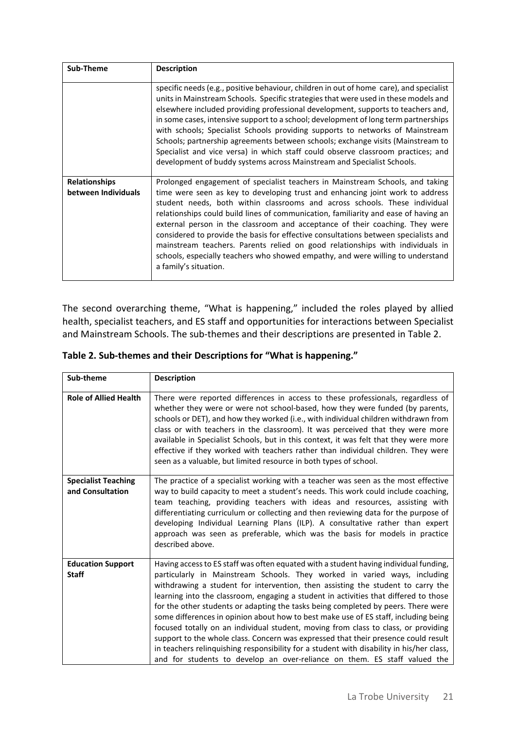| Sub-Theme                                   | <b>Description</b>                                                                                                                                                                                                                                                                                                                                                                                                                                                                                                                                                                                                                                                                                      |
|---------------------------------------------|---------------------------------------------------------------------------------------------------------------------------------------------------------------------------------------------------------------------------------------------------------------------------------------------------------------------------------------------------------------------------------------------------------------------------------------------------------------------------------------------------------------------------------------------------------------------------------------------------------------------------------------------------------------------------------------------------------|
|                                             | specific needs (e.g., positive behaviour, children in out of home care), and specialist<br>units in Mainstream Schools. Specific strategies that were used in these models and<br>elsewhere included providing professional development, supports to teachers and,<br>in some cases, intensive support to a school; development of long term partnerships<br>with schools; Specialist Schools providing supports to networks of Mainstream<br>Schools; partnership agreements between schools; exchange visits (Mainstream to<br>Specialist and vice versa) in which staff could observe classroom practices; and<br>development of buddy systems across Mainstream and Specialist Schools.             |
| <b>Relationships</b><br>between Individuals | Prolonged engagement of specialist teachers in Mainstream Schools, and taking<br>time were seen as key to developing trust and enhancing joint work to address<br>student needs, both within classrooms and across schools. These individual<br>relationships could build lines of communication, familiarity and ease of having an<br>external person in the classroom and acceptance of their coaching. They were<br>considered to provide the basis for effective consultations between specialists and<br>mainstream teachers. Parents relied on good relationships with individuals in<br>schools, especially teachers who showed empathy, and were willing to understand<br>a family's situation. |

The second overarching theme, "What is happening," included the roles played by allied health, specialist teachers, and ES staff and opportunities for interactions between Specialist and Mainstream Schools. The sub-themes and their descriptions are presented in Table 2.

| Sub-theme                                      | <b>Description</b>                                                                                                                                                                                                                                                                                                                                                                                                                                                                                                                                                                                                                                                                                                                                                                                                                                                             |
|------------------------------------------------|--------------------------------------------------------------------------------------------------------------------------------------------------------------------------------------------------------------------------------------------------------------------------------------------------------------------------------------------------------------------------------------------------------------------------------------------------------------------------------------------------------------------------------------------------------------------------------------------------------------------------------------------------------------------------------------------------------------------------------------------------------------------------------------------------------------------------------------------------------------------------------|
| <b>Role of Allied Health</b>                   | There were reported differences in access to these professionals, regardless of<br>whether they were or were not school-based, how they were funded (by parents,<br>schools or DET), and how they worked (i.e., with individual children withdrawn from<br>class or with teachers in the classroom). It was perceived that they were more<br>available in Specialist Schools, but in this context, it was felt that they were more<br>effective if they worked with teachers rather than individual children. They were<br>seen as a valuable, but limited resource in both types of school.                                                                                                                                                                                                                                                                                   |
| <b>Specialist Teaching</b><br>and Consultation | The practice of a specialist working with a teacher was seen as the most effective<br>way to build capacity to meet a student's needs. This work could include coaching,<br>team teaching, providing teachers with ideas and resources, assisting with<br>differentiating curriculum or collecting and then reviewing data for the purpose of<br>developing Individual Learning Plans (ILP). A consultative rather than expert<br>approach was seen as preferable, which was the basis for models in practice<br>described above.                                                                                                                                                                                                                                                                                                                                              |
| <b>Education Support</b><br><b>Staff</b>       | Having access to ES staff was often equated with a student having individual funding,<br>particularly in Mainstream Schools. They worked in varied ways, including<br>withdrawing a student for intervention, then assisting the student to carry the<br>learning into the classroom, engaging a student in activities that differed to those<br>for the other students or adapting the tasks being completed by peers. There were<br>some differences in opinion about how to best make use of ES staff, including being<br>focused totally on an individual student, moving from class to class, or providing<br>support to the whole class. Concern was expressed that their presence could result<br>in teachers relinquishing responsibility for a student with disability in his/her class,<br>and for students to develop an over-reliance on them. ES staff valued the |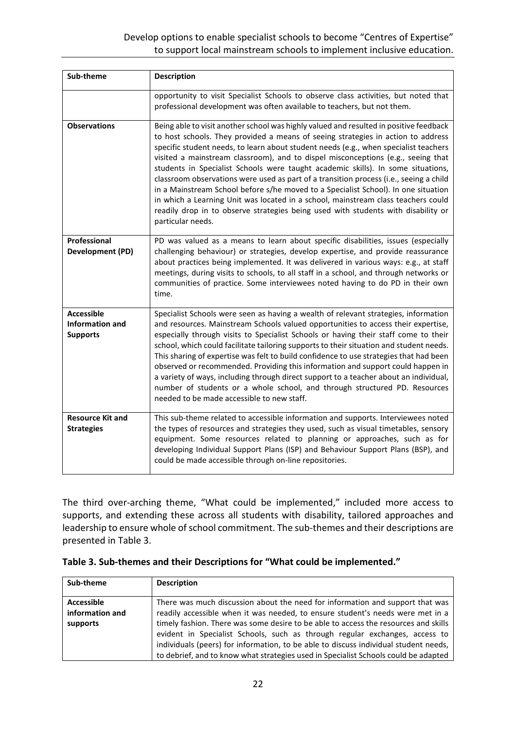| Sub-theme                                                      | <b>Description</b>                                                                                                                                                                                                                                                                                                                                                                                                                                                                                                                                                                                                                                                                                                                                                                                                        |
|----------------------------------------------------------------|---------------------------------------------------------------------------------------------------------------------------------------------------------------------------------------------------------------------------------------------------------------------------------------------------------------------------------------------------------------------------------------------------------------------------------------------------------------------------------------------------------------------------------------------------------------------------------------------------------------------------------------------------------------------------------------------------------------------------------------------------------------------------------------------------------------------------|
|                                                                | opportunity to visit Specialist Schools to observe class activities, but noted that<br>professional development was often available to teachers, but not them.                                                                                                                                                                                                                                                                                                                                                                                                                                                                                                                                                                                                                                                            |
| <b>Observations</b>                                            | Being able to visit another school was highly valued and resulted in positive feedback<br>to host schools. They provided a means of seeing strategies in action to address<br>specific student needs, to learn about student needs (e.g., when specialist teachers<br>visited a mainstream classroom), and to dispel misconceptions (e.g., seeing that<br>students in Specialist Schools were taught academic skills). In some situations,<br>classroom observations were used as part of a transition process (i.e., seeing a child<br>in a Mainstream School before s/he moved to a Specialist School). In one situation<br>in which a Learning Unit was located in a school, mainstream class teachers could<br>readily drop in to observe strategies being used with students with disability or<br>particular needs. |
| Professional<br>Development (PD)                               | PD was valued as a means to learn about specific disabilities, issues (especially<br>challenging behaviour) or strategies, develop expertise, and provide reassurance<br>about practices being implemented. It was delivered in various ways: e.g., at staff<br>meetings, during visits to schools, to all staff in a school, and through networks or<br>communities of practice. Some interviewees noted having to do PD in their own<br>time.                                                                                                                                                                                                                                                                                                                                                                           |
| <b>Accessible</b><br><b>Information and</b><br><b>Supports</b> | Specialist Schools were seen as having a wealth of relevant strategies, information<br>and resources. Mainstream Schools valued opportunities to access their expertise,<br>especially through visits to Specialist Schools or having their staff come to their<br>school, which could facilitate tailoring supports to their situation and student needs.<br>This sharing of expertise was felt to build confidence to use strategies that had been<br>observed or recommended. Providing this information and support could happen in<br>a variety of ways, including through direct support to a teacher about an individual,<br>number of students or a whole school, and through structured PD. Resources<br>needed to be made accessible to new staff.                                                              |
| <b>Resource Kit and</b><br><b>Strategies</b>                   | This sub-theme related to accessible information and supports. Interviewees noted<br>the types of resources and strategies they used, such as visual timetables, sensory<br>equipment. Some resources related to planning or approaches, such as for<br>developing Individual Support Plans (ISP) and Behaviour Support Plans (BSP), and<br>could be made accessible through on-line repositories.                                                                                                                                                                                                                                                                                                                                                                                                                        |

The third over-arching theme, "What could be implemented," included more access to supports, and extending these across all students with disability, tailored approaches and leadership to ensure whole of school commitment. The sub-themes and their descriptions are presented in Table 3.

| Sub-theme       | <b>Description</b>                                                                   |
|-----------------|--------------------------------------------------------------------------------------|
|                 |                                                                                      |
| Accessible      | There was much discussion about the need for information and support that was        |
| information and | readily accessible when it was needed, to ensure student's needs were met in a       |
| supports        | timely fashion. There was some desire to be able to access the resources and skills  |
|                 | evident in Specialist Schools, such as through regular exchanges, access to          |
|                 | individuals (peers) for information, to be able to discuss individual student needs, |
|                 | to debrief, and to know what strategies used in Specialist Schools could be adapted  |

| Table 3. Sub-themes and their Descriptions for "What could be implemented." |  |
|-----------------------------------------------------------------------------|--|
|-----------------------------------------------------------------------------|--|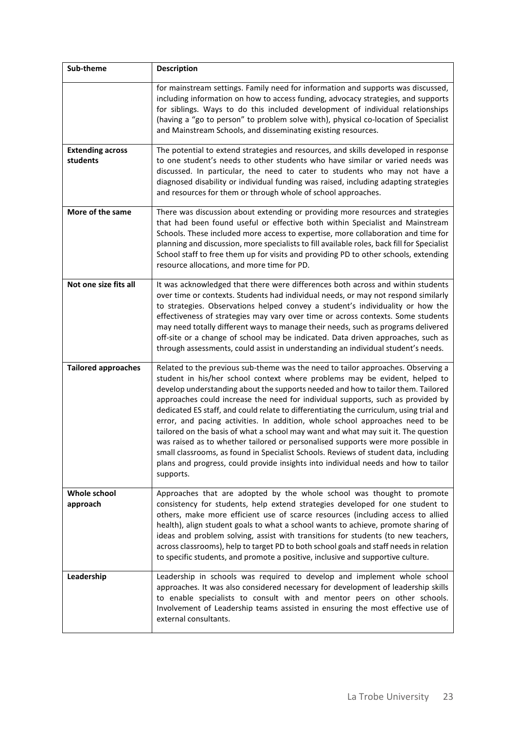| Sub-theme                           | <b>Description</b>                                                                                                                                                                                                                                                                                                                                                                                                                                                                                                                                                                                                                                                                                                                                                                                                                                                                     |
|-------------------------------------|----------------------------------------------------------------------------------------------------------------------------------------------------------------------------------------------------------------------------------------------------------------------------------------------------------------------------------------------------------------------------------------------------------------------------------------------------------------------------------------------------------------------------------------------------------------------------------------------------------------------------------------------------------------------------------------------------------------------------------------------------------------------------------------------------------------------------------------------------------------------------------------|
|                                     | for mainstream settings. Family need for information and supports was discussed,<br>including information on how to access funding, advocacy strategies, and supports<br>for siblings. Ways to do this included development of individual relationships<br>(having a "go to person" to problem solve with), physical co-location of Specialist<br>and Mainstream Schools, and disseminating existing resources.                                                                                                                                                                                                                                                                                                                                                                                                                                                                        |
| <b>Extending across</b><br>students | The potential to extend strategies and resources, and skills developed in response<br>to one student's needs to other students who have similar or varied needs was<br>discussed. In particular, the need to cater to students who may not have a<br>diagnosed disability or individual funding was raised, including adapting strategies<br>and resources for them or through whole of school approaches.                                                                                                                                                                                                                                                                                                                                                                                                                                                                             |
| More of the same                    | There was discussion about extending or providing more resources and strategies<br>that had been found useful or effective both within Specialist and Mainstream<br>Schools. These included more access to expertise, more collaboration and time for<br>planning and discussion, more specialists to fill available roles, back fill for Specialist<br>School staff to free them up for visits and providing PD to other schools, extending<br>resource allocations, and more time for PD.                                                                                                                                                                                                                                                                                                                                                                                            |
| Not one size fits all               | It was acknowledged that there were differences both across and within students<br>over time or contexts. Students had individual needs, or may not respond similarly<br>to strategies. Observations helped convey a student's individuality or how the<br>effectiveness of strategies may vary over time or across contexts. Some students<br>may need totally different ways to manage their needs, such as programs delivered<br>off-site or a change of school may be indicated. Data driven approaches, such as<br>through assessments, could assist in understanding an individual student's needs.                                                                                                                                                                                                                                                                              |
| <b>Tailored approaches</b>          | Related to the previous sub-theme was the need to tailor approaches. Observing a<br>student in his/her school context where problems may be evident, helped to<br>develop understanding about the supports needed and how to tailor them. Tailored<br>approaches could increase the need for individual supports, such as provided by<br>dedicated ES staff, and could relate to differentiating the curriculum, using trial and<br>error, and pacing activities. In addition, whole school approaches need to be<br>tailored on the basis of what a school may want and what may suit it. The question<br>was raised as to whether tailored or personalised supports were more possible in<br>small classrooms, as found in Specialist Schools. Reviews of student data, including<br>plans and progress, could provide insights into individual needs and how to tailor<br>supports. |
| Whole school<br>approach            | Approaches that are adopted by the whole school was thought to promote<br>consistency for students, help extend strategies developed for one student to<br>others, make more efficient use of scarce resources (including access to allied<br>health), align student goals to what a school wants to achieve, promote sharing of<br>ideas and problem solving, assist with transitions for students (to new teachers,<br>across classrooms), help to target PD to both school goals and staff needs in relation<br>to specific students, and promote a positive, inclusive and supportive culture.                                                                                                                                                                                                                                                                                     |
| Leadership                          | Leadership in schools was required to develop and implement whole school<br>approaches. It was also considered necessary for development of leadership skills<br>to enable specialists to consult with and mentor peers on other schools.<br>Involvement of Leadership teams assisted in ensuring the most effective use of<br>external consultants.                                                                                                                                                                                                                                                                                                                                                                                                                                                                                                                                   |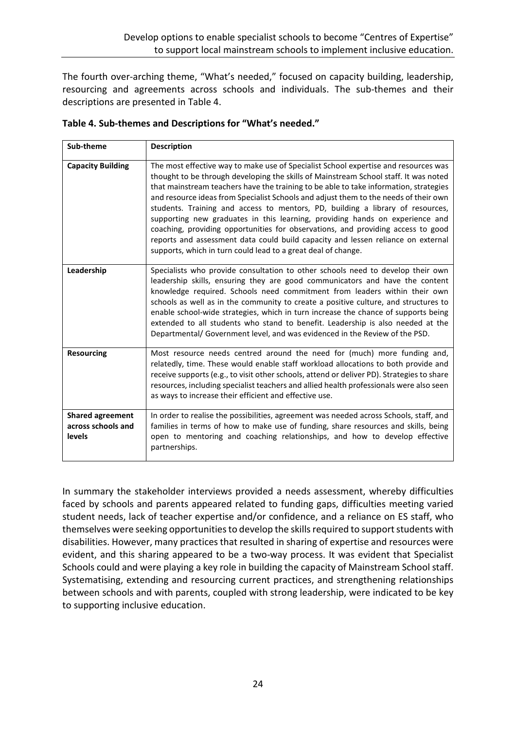The fourth over-arching theme, "What's needed," focused on capacity building, leadership, resourcing and agreements across schools and individuals. The sub-themes and their descriptions are presented in Table 4.

| Sub-theme                                                      | <b>Description</b>                                                                                                                                                                                                                                                                                                                                                                                                                                                                                                                                                                                                                                                                                                                                                      |
|----------------------------------------------------------------|-------------------------------------------------------------------------------------------------------------------------------------------------------------------------------------------------------------------------------------------------------------------------------------------------------------------------------------------------------------------------------------------------------------------------------------------------------------------------------------------------------------------------------------------------------------------------------------------------------------------------------------------------------------------------------------------------------------------------------------------------------------------------|
| <b>Capacity Building</b>                                       | The most effective way to make use of Specialist School expertise and resources was<br>thought to be through developing the skills of Mainstream School staff. It was noted<br>that mainstream teachers have the training to be able to take information, strategies<br>and resource ideas from Specialist Schools and adjust them to the needs of their own<br>students. Training and access to mentors, PD, building a library of resources,<br>supporting new graduates in this learning, providing hands on experience and<br>coaching, providing opportunities for observations, and providing access to good<br>reports and assessment data could build capacity and lessen reliance on external<br>supports, which in turn could lead to a great deal of change. |
| Leadership                                                     | Specialists who provide consultation to other schools need to develop their own<br>leadership skills, ensuring they are good communicators and have the content<br>knowledge required. Schools need commitment from leaders within their own<br>schools as well as in the community to create a positive culture, and structures to<br>enable school-wide strategies, which in turn increase the chance of supports being<br>extended to all students who stand to benefit. Leadership is also needed at the<br>Departmental/ Government level, and was evidenced in the Review of the PSD.                                                                                                                                                                             |
| <b>Resourcing</b>                                              | Most resource needs centred around the need for (much) more funding and,<br>relatedly, time. These would enable staff workload allocations to both provide and<br>receive supports (e.g., to visit other schools, attend or deliver PD). Strategies to share<br>resources, including specialist teachers and allied health professionals were also seen<br>as ways to increase their efficient and effective use.                                                                                                                                                                                                                                                                                                                                                       |
| <b>Shared agreement</b><br>across schools and<br><b>levels</b> | In order to realise the possibilities, agreement was needed across Schools, staff, and<br>families in terms of how to make use of funding, share resources and skills, being<br>open to mentoring and coaching relationships, and how to develop effective<br>partnerships.                                                                                                                                                                                                                                                                                                                                                                                                                                                                                             |

**Table 4. Sub-themes and Descriptions for "What's needed."**

In summary the stakeholder interviews provided a needs assessment, whereby difficulties faced by schools and parents appeared related to funding gaps, difficulties meeting varied student needs, lack of teacher expertise and/or confidence, and a reliance on ES staff, who themselves were seeking opportunities to develop the skills required to support students with disabilities. However, many practices that resulted in sharing of expertise and resources were evident, and this sharing appeared to be a two-way process. It was evident that Specialist Schools could and were playing a key role in building the capacity of Mainstream School staff. Systematising, extending and resourcing current practices, and strengthening relationships between schools and with parents, coupled with strong leadership, were indicated to be key to supporting inclusive education.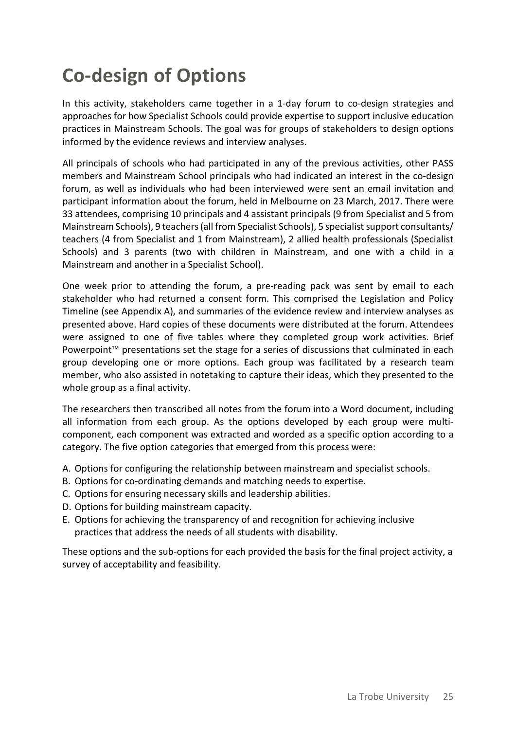# **Co-design of Options**

In this activity, stakeholders came together in a 1-day forum to co-design strategies and approaches for how Specialist Schools could provide expertise to support inclusive education practices in Mainstream Schools. The goal was for groups of stakeholders to design options informed by the evidence reviews and interview analyses.

All principals of schools who had participated in any of the previous activities, other PASS members and Mainstream School principals who had indicated an interest in the co-design forum, as well as individuals who had been interviewed were sent an email invitation and participant information about the forum, held in Melbourne on 23 March, 2017. There were 33 attendees, comprising 10 principals and 4 assistant principals (9 from Specialist and 5 from Mainstream Schools), 9 teachers (all from Specialist Schools), 5 specialist support consultants/ teachers (4 from Specialist and 1 from Mainstream), 2 allied health professionals (Specialist Schools) and 3 parents (two with children in Mainstream, and one with a child in a Mainstream and another in a Specialist School).

One week prior to attending the forum, a pre-reading pack was sent by email to each stakeholder who had returned a consent form. This comprised the Legislation and Policy Timeline (see Appendix A), and summaries of the evidence review and interview analyses as presented above. Hard copies of these documents were distributed at the forum. Attendees were assigned to one of five tables where they completed group work activities. Brief Powerpoint™ presentations set the stage for a series of discussions that culminated in each group developing one or more options. Each group was facilitated by a research team member, who also assisted in notetaking to capture their ideas, which they presented to the whole group as a final activity.

The researchers then transcribed all notes from the forum into a Word document, including all information from each group. As the options developed by each group were multicomponent, each component was extracted and worded as a specific option according to a category. The five option categories that emerged from this process were:

- A. Options for configuring the relationship between mainstream and specialist schools.
- B. Options for co-ordinating demands and matching needs to expertise.
- C. Options for ensuring necessary skills and leadership abilities.
- D. Options for building mainstream capacity.
- E. Options for achieving the transparency of and recognition for achieving inclusive practices that address the needs of all students with disability.

These options and the sub-options for each provided the basis for the final project activity, a survey of acceptability and feasibility.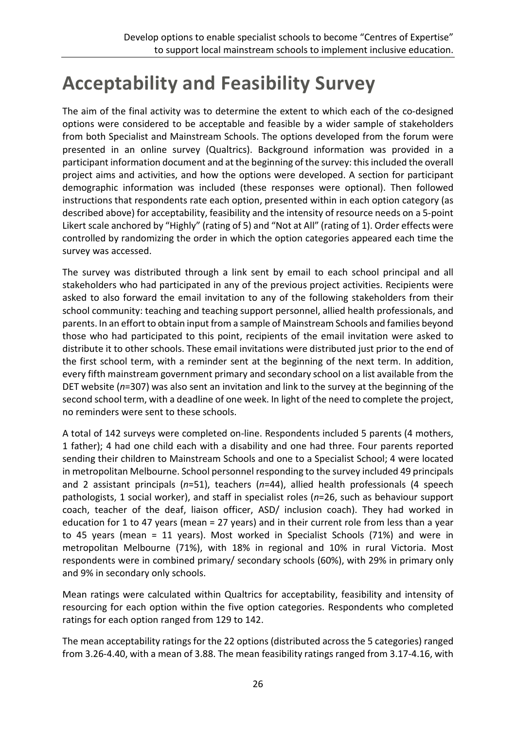# **Acceptability and Feasibility Survey**

The aim of the final activity was to determine the extent to which each of the co-designed options were considered to be acceptable and feasible by a wider sample of stakeholders from both Specialist and Mainstream Schools. The options developed from the forum were presented in an online survey (Qualtrics). Background information was provided in a participant information document and at the beginning of the survey: this included the overall project aims and activities, and how the options were developed. A section for participant demographic information was included (these responses were optional). Then followed instructions that respondents rate each option, presented within in each option category (as described above) for acceptability, feasibility and the intensity of resource needs on a 5-point Likert scale anchored by "Highly" (rating of 5) and "Not at All" (rating of 1). Order effects were controlled by randomizing the order in which the option categories appeared each time the survey was accessed.

The survey was distributed through a link sent by email to each school principal and all stakeholders who had participated in any of the previous project activities. Recipients were asked to also forward the email invitation to any of the following stakeholders from their school community: teaching and teaching support personnel, allied health professionals, and parents. In an effort to obtain input from a sample of Mainstream Schools and families beyond those who had participated to this point, recipients of the email invitation were asked to distribute it to other schools. These email invitations were distributed just prior to the end of the first school term, with a reminder sent at the beginning of the next term. In addition, every fifth mainstream government primary and secondary school on a list available from the DET website (*n*=307) was also sent an invitation and link to the survey at the beginning of the second school term, with a deadline of one week. In light of the need to complete the project, no reminders were sent to these schools.

A total of 142 surveys were completed on-line. Respondents included 5 parents (4 mothers, 1 father); 4 had one child each with a disability and one had three. Four parents reported sending their children to Mainstream Schools and one to a Specialist School; 4 were located in metropolitan Melbourne. School personnel responding to the survey included 49 principals and 2 assistant principals (*n*=51), teachers (*n*=44), allied health professionals (4 speech pathologists, 1 social worker), and staff in specialist roles (*n*=26, such as behaviour support coach, teacher of the deaf, liaison officer, ASD/ inclusion coach). They had worked in education for 1 to 47 years (mean = 27 years) and in their current role from less than a year to 45 years (mean = 11 years). Most worked in Specialist Schools (71%) and were in metropolitan Melbourne (71%), with 18% in regional and 10% in rural Victoria. Most respondents were in combined primary/ secondary schools (60%), with 29% in primary only and 9% in secondary only schools.

Mean ratings were calculated within Qualtrics for acceptability, feasibility and intensity of resourcing for each option within the five option categories. Respondents who completed ratings for each option ranged from 129 to 142.

The mean acceptability ratings for the 22 options (distributed across the 5 categories) ranged from 3.26-4.40, with a mean of 3.88. The mean feasibility ratings ranged from 3.17-4.16, with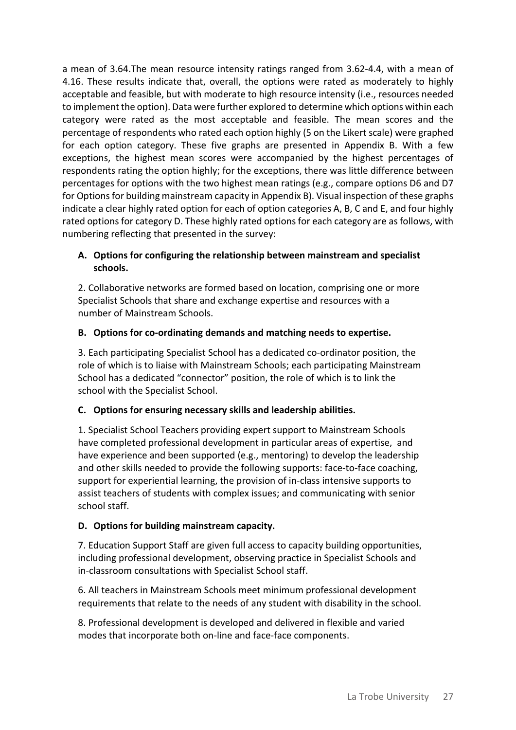a mean of 3.64.The mean resource intensity ratings ranged from 3.62-4.4, with a mean of 4.16. These results indicate that, overall, the options were rated as moderately to highly acceptable and feasible, but with moderate to high resource intensity (i.e., resources needed to implement the option). Data were further explored to determine which options within each category were rated as the most acceptable and feasible. The mean scores and the percentage of respondents who rated each option highly (5 on the Likert scale) were graphed for each option category. These five graphs are presented in Appendix B. With a few exceptions, the highest mean scores were accompanied by the highest percentages of respondents rating the option highly; for the exceptions, there was little difference between percentages for options with the two highest mean ratings (e.g., compare options D6 and D7 for Options for building mainstream capacity in Appendix B). Visual inspection of these graphs indicate a clear highly rated option for each of option categories A, B, C and E, and four highly rated options for category D. These highly rated options for each category are as follows, with numbering reflecting that presented in the survey:

### **A. Options for configuring the relationship between mainstream and specialist schools.**

2. Collaborative networks are formed based on location, comprising one or more Specialist Schools that share and exchange expertise and resources with a number of Mainstream Schools.

### **B. Options for co-ordinating demands and matching needs to expertise.**

3. Each participating Specialist School has a dedicated co-ordinator position, the role of which is to liaise with Mainstream Schools; each participating Mainstream School has a dedicated "connector" position, the role of which is to link the school with the Specialist School.

## **C. Options for ensuring necessary skills and leadership abilities.**

1. Specialist School Teachers providing expert support to Mainstream Schools have completed professional development in particular areas of expertise, and have experience and been supported (e.g., mentoring) to develop the leadership and other skills needed to provide the following supports: face-to-face coaching, support for experiential learning, the provision of in-class intensive supports to assist teachers of students with complex issues; and communicating with senior school staff.

## **D. Options for building mainstream capacity.**

7. Education Support Staff are given full access to capacity building opportunities, including professional development, observing practice in Specialist Schools and in-classroom consultations with Specialist School staff.

6. All teachers in Mainstream Schools meet minimum professional development requirements that relate to the needs of any student with disability in the school.

8. Professional development is developed and delivered in flexible and varied modes that incorporate both on-line and face-face components.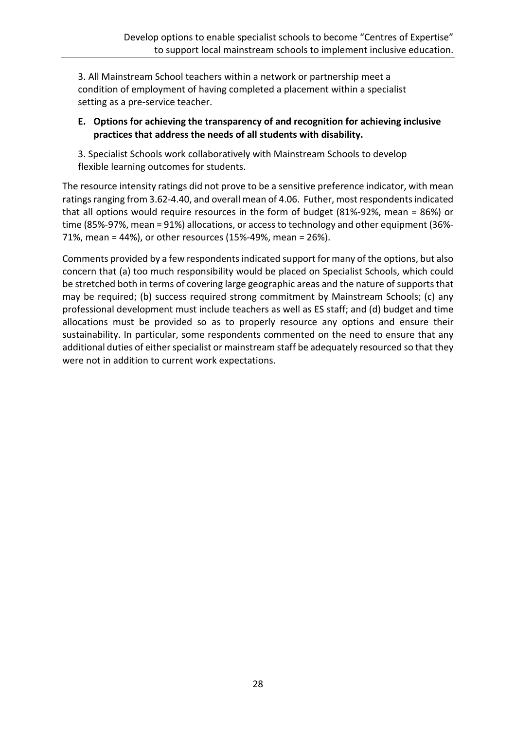3. All Mainstream School teachers within a network or partnership meet a condition of employment of having completed a placement within a specialist setting as a pre-service teacher.

### **E. Options for achieving the transparency of and recognition for achieving inclusive practices that address the needs of all students with disability.**

3. Specialist Schools work collaboratively with Mainstream Schools to develop flexible learning outcomes for students.

The resource intensity ratings did not prove to be a sensitive preference indicator, with mean ratings ranging from 3.62-4.40, and overall mean of 4.06. Futher, most respondents indicated that all options would require resources in the form of budget (81%-92%, mean = 86%) or time (85%-97%, mean = 91%) allocations, or access to technology and other equipment (36%- 71%, mean = 44%), or other resources (15%-49%, mean = 26%).

Comments provided by a few respondents indicated support for many of the options, but also concern that (a) too much responsibility would be placed on Specialist Schools, which could be stretched both in terms of covering large geographic areas and the nature of supports that may be required; (b) success required strong commitment by Mainstream Schools; (c) any professional development must include teachers as well as ES staff; and (d) budget and time allocations must be provided so as to properly resource any options and ensure their sustainability. In particular, some respondents commented on the need to ensure that any additional duties of either specialist or mainstream staff be adequately resourced so that they were not in addition to current work expectations.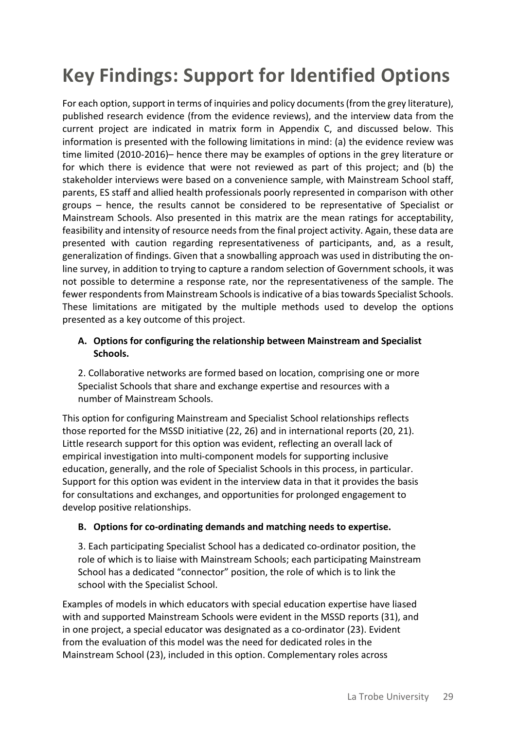# **Key Findings: Support for Identified Options**

For each option, support in terms of inquiries and policy documents (from the grey literature), published research evidence (from the evidence reviews), and the interview data from the current project are indicated in matrix form in Appendix C, and discussed below. This information is presented with the following limitations in mind: (a) the evidence review was time limited (2010-2016)– hence there may be examples of options in the grey literature or for which there is evidence that were not reviewed as part of this project; and (b) the stakeholder interviews were based on a convenience sample, with Mainstream School staff, parents, ES staff and allied health professionals poorly represented in comparison with other groups – hence, the results cannot be considered to be representative of Specialist or Mainstream Schools. Also presented in this matrix are the mean ratings for acceptability, feasibility and intensity of resource needs from the final project activity. Again, these data are presented with caution regarding representativeness of participants, and, as a result, generalization of findings. Given that a snowballing approach was used in distributing the online survey, in addition to trying to capture a random selection of Government schools, it was not possible to determine a response rate, nor the representativeness of the sample. The fewer respondents from Mainstream Schools is indicative of a bias towards Specialist Schools. These limitations are mitigated by the multiple methods used to develop the options presented as a key outcome of this project.

### **A. Options for configuring the relationship between Mainstream and Specialist Schools.**

2. Collaborative networks are formed based on location, comprising one or more Specialist Schools that share and exchange expertise and resources with a number of Mainstream Schools.

This option for configuring Mainstream and Specialist School relationships reflects those reported for the MSSD initiative (22, 26) and in international reports (20, 21). Little research support for this option was evident, reflecting an overall lack of empirical investigation into multi-component models for supporting inclusive education, generally, and the role of Specialist Schools in this process, in particular. Support for this option was evident in the interview data in that it provides the basis for consultations and exchanges, and opportunities for prolonged engagement to develop positive relationships.

### **B. Options for co-ordinating demands and matching needs to expertise.**

3. Each participating Specialist School has a dedicated co-ordinator position, the role of which is to liaise with Mainstream Schools; each participating Mainstream School has a dedicated "connector" position, the role of which is to link the school with the Specialist School.

Examples of models in which educators with special education expertise have liased with and supported Mainstream Schools were evident in the MSSD reports (31), and in one project, a special educator was designated as a co-ordinator (23). Evident from the evaluation of this model was the need for dedicated roles in the Mainstream School (23), included in this option. Complementary roles across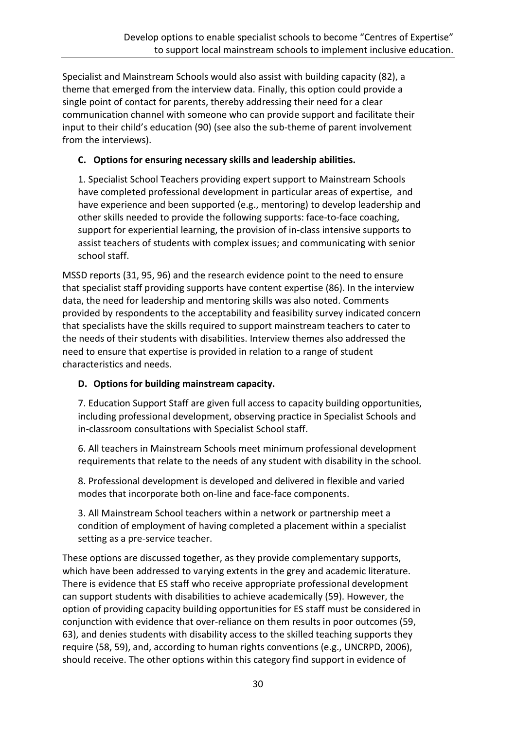Specialist and Mainstream Schools would also assist with building capacity (82), a theme that emerged from the interview data. Finally, this option could provide a single point of contact for parents, thereby addressing their need for a clear communication channel with someone who can provide support and facilitate their input to their child's education (90) (see also the sub-theme of parent involvement from the interviews).

### **C. Options for ensuring necessary skills and leadership abilities.**

1. Specialist School Teachers providing expert support to Mainstream Schools have completed professional development in particular areas of expertise, and have experience and been supported (e.g., mentoring) to develop leadership and other skills needed to provide the following supports: face-to-face coaching, support for experiential learning, the provision of in-class intensive supports to assist teachers of students with complex issues; and communicating with senior school staff.

MSSD reports (31, 95, 96) and the research evidence point to the need to ensure that specialist staff providing supports have content expertise (86). In the interview data, the need for leadership and mentoring skills was also noted. Comments provided by respondents to the acceptability and feasibility survey indicated concern that specialists have the skills required to support mainstream teachers to cater to the needs of their students with disabilities. Interview themes also addressed the need to ensure that expertise is provided in relation to a range of student characteristics and needs.

## **D. Options for building mainstream capacity.**

7. Education Support Staff are given full access to capacity building opportunities, including professional development, observing practice in Specialist Schools and in-classroom consultations with Specialist School staff.

6. All teachers in Mainstream Schools meet minimum professional development requirements that relate to the needs of any student with disability in the school.

8. Professional development is developed and delivered in flexible and varied modes that incorporate both on-line and face-face components.

3. All Mainstream School teachers within a network or partnership meet a condition of employment of having completed a placement within a specialist setting as a pre-service teacher.

These options are discussed together, as they provide complementary supports, which have been addressed to varying extents in the grey and academic literature. There is evidence that ES staff who receive appropriate professional development can support students with disabilities to achieve academically (59). However, the option of providing capacity building opportunities for ES staff must be considered in conjunction with evidence that over-reliance on them results in poor outcomes (59, 63), and denies students with disability access to the skilled teaching supports they require (58, 59), and, according to human rights conventions (e.g., UNCRPD, 2006), should receive. The other options within this category find support in evidence of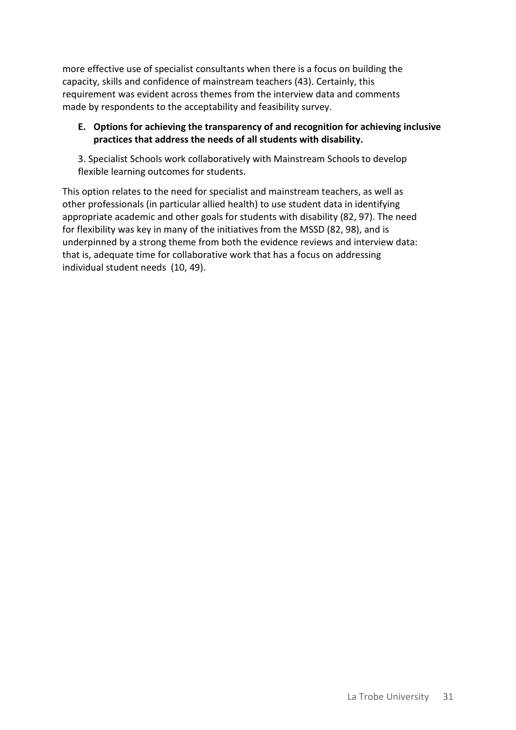more effective use of specialist consultants when there is a focus on building the capacity, skills and confidence of mainstream teachers (43). Certainly, this requirement was evident across themes from the interview data and comments made by respondents to the acceptability and feasibility survey.

### **E. Options for achieving the transparency of and recognition for achieving inclusive practices that address the needs of all students with disability.**

3. Specialist Schools work collaboratively with Mainstream Schools to develop flexible learning outcomes for students.

This option relates to the need for specialist and mainstream teachers, as well as other professionals (in particular allied health) to use student data in identifying appropriate academic and other goals for students with disability (82, 97). The need for flexibility was key in many of the initiatives from the MSSD (82, 98), and is underpinned by a strong theme from both the evidence reviews and interview data: that is, adequate time for collaborative work that has a focus on addressing individual student needs (10, 49).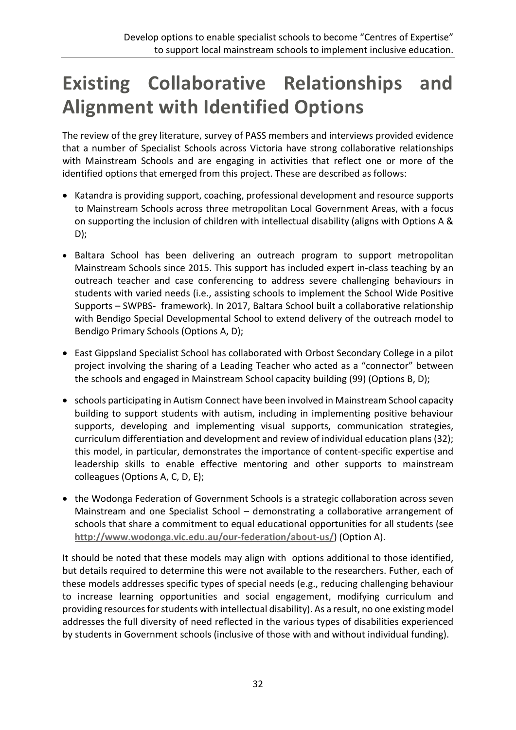# **Existing Collaborative Relationships and Alignment with Identified Options**

The review of the grey literature, survey of PASS members and interviews provided evidence that a number of Specialist Schools across Victoria have strong collaborative relationships with Mainstream Schools and are engaging in activities that reflect one or more of the identified options that emerged from this project. These are described as follows:

- Katandra is providing support, coaching, professional development and resource supports to Mainstream Schools across three metropolitan Local Government Areas, with a focus on supporting the inclusion of children with intellectual disability (aligns with Options A & D);
- Baltara School has been delivering an outreach program to support metropolitan Mainstream Schools since 2015. This support has included expert in-class teaching by an outreach teacher and case conferencing to address severe challenging behaviours in students with varied needs (i.e., assisting schools to implement the School Wide Positive Supports – SWPBS- framework). In 2017, Baltara School built a collaborative relationship with Bendigo Special Developmental School to extend delivery of the outreach model to Bendigo Primary Schools (Options A, D);
- East Gippsland Specialist School has collaborated with Orbost Secondary College in a pilot project involving the sharing of a Leading Teacher who acted as a "connector" between the schools and engaged in Mainstream School capacity building (99) (Options B, D);
- schools participating in Autism Connect have been involved in Mainstream School capacity building to support students with autism, including in implementing positive behaviour supports, developing and implementing visual supports, communication strategies, curriculum differentiation and development and review of individual education plans (32); this model, in particular, demonstrates the importance of content-specific expertise and leadership skills to enable effective mentoring and other supports to mainstream colleagues (Options A, C, D, E);
- the Wodonga Federation of Government Schools is a strategic collaboration across seven Mainstream and one Specialist School – demonstrating a collaborative arrangement of schools that share a commitment to equal educational opportunities for all students (see **<http://www.wodonga.vic.edu.au/our-federation/about-us/>**) (Option A).

It should be noted that these models may align with options additional to those identified, but details required to determine this were not available to the researchers. Futher, each of these models addresses specific types of special needs (e.g., reducing challenging behaviour to increase learning opportunities and social engagement, modifying curriculum and providing resources for students with intellectual disability). As a result, no one existing model addresses the full diversity of need reflected in the various types of disabilities experienced by students in Government schools (inclusive of those with and without individual funding).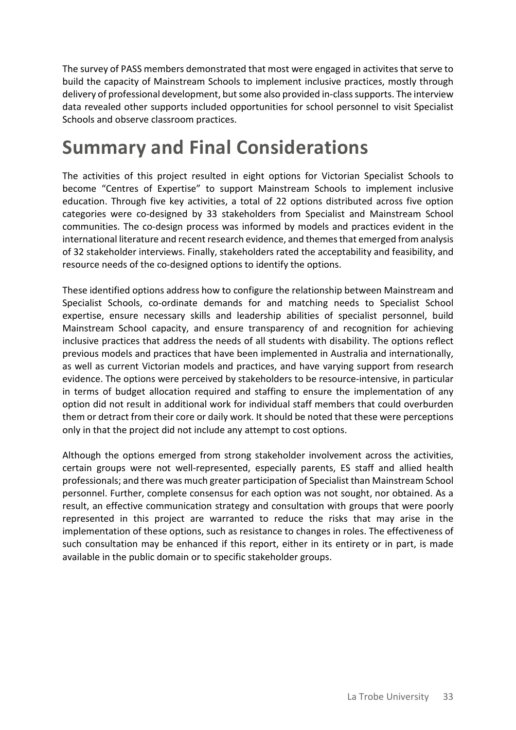The survey of PASS members demonstrated that most were engaged in activites that serve to build the capacity of Mainstream Schools to implement inclusive practices, mostly through delivery of professional development, but some also provided in-class supports. The interview data revealed other supports included opportunities for school personnel to visit Specialist Schools and observe classroom practices.

# **Summary and Final Considerations**

The activities of this project resulted in eight options for Victorian Specialist Schools to become "Centres of Expertise" to support Mainstream Schools to implement inclusive education. Through five key activities, a total of 22 options distributed across five option categories were co-designed by 33 stakeholders from Specialist and Mainstream School communities. The co-design process was informed by models and practices evident in the international literature and recent research evidence, and themes that emerged from analysis of 32 stakeholder interviews. Finally, stakeholders rated the acceptability and feasibility, and resource needs of the co-designed options to identify the options.

These identified options address how to configure the relationship between Mainstream and Specialist Schools, co-ordinate demands for and matching needs to Specialist School expertise, ensure necessary skills and leadership abilities of specialist personnel, build Mainstream School capacity, and ensure transparency of and recognition for achieving inclusive practices that address the needs of all students with disability. The options reflect previous models and practices that have been implemented in Australia and internationally, as well as current Victorian models and practices, and have varying support from research evidence. The options were perceived by stakeholders to be resource-intensive, in particular in terms of budget allocation required and staffing to ensure the implementation of any option did not result in additional work for individual staff members that could overburden them or detract from their core or daily work. It should be noted that these were perceptions only in that the project did not include any attempt to cost options.

Although the options emerged from strong stakeholder involvement across the activities, certain groups were not well-represented, especially parents, ES staff and allied health professionals; and there was much greater participation of Specialist than Mainstream School personnel. Further, complete consensus for each option was not sought, nor obtained. As a result, an effective communication strategy and consultation with groups that were poorly represented in this project are warranted to reduce the risks that may arise in the implementation of these options, such as resistance to changes in roles. The effectiveness of such consultation may be enhanced if this report, either in its entirety or in part, is made available in the public domain or to specific stakeholder groups.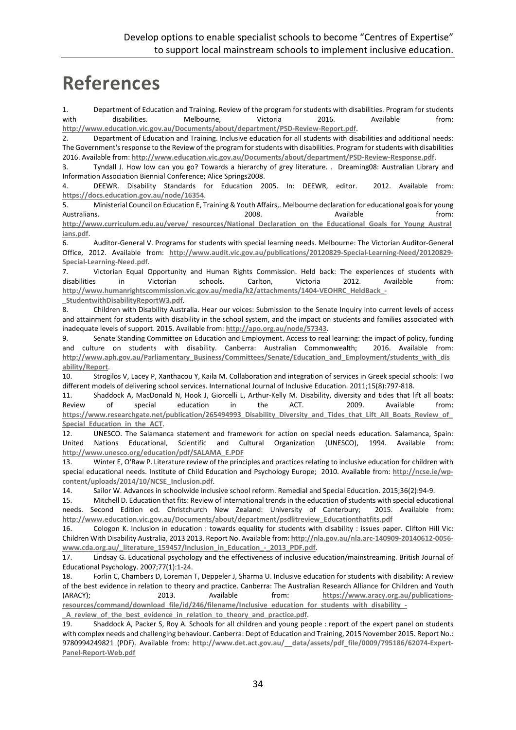# **References**

1. Department of Education and Training. Review of the program for students with disabilities. Program for students with disabilities. Melbourne, Victoria 2016. Available from: **<http://www.education.vic.gov.au/Documents/about/department/PSD-Review-Report.pdf>**.

2. Department of Education and Training. Inclusive education for all students with disabilities and additional needs: The Government's response to the Review of the program for students with disabilities. Program for students with disabilities 2016. Available from: **<http://www.education.vic.gov.au/Documents/about/department/PSD-Review-Response.pdf>**.

3. Tyndall J. How low can you go? Towards a hierarchy of grey literature. . Dreaming08: Australian Library and Information Association Biennial Conference; Alice Springs2008.

4. DEEWR. Disability Standards for Education 2005. In: DEEWR, editor. 2012. Available from: **<https://docs.education.gov.au/node/16354>**.

5. Ministerial Council on Education E, Training & Youth Affairs,. Melbourne declaration for educational goals for young Australians. 2008. Australians and the method of the control of the control of the control of the control of the control of the control of the control of the control of the control of the control of the control of the cont **[http://www.curriculum.edu.au/verve/\\_resources/National\\_Declaration\\_on\\_the\\_Educational\\_Goals\\_for\\_Young\\_Austral](http://www.curriculum.edu.au/verve/_resources/National_Declaration_on_the_Educational_Goals_for_Young_Australians.pdf) [ians.pdf](http://www.curriculum.edu.au/verve/_resources/National_Declaration_on_the_Educational_Goals_for_Young_Australians.pdf)**.

6. Auditor-General V. Programs for students with special learning needs. Melbourne: The Victorian Auditor-General Office, 2012. Available from: **[http://www.audit.vic.gov.au/publications/20120829-Special-Learning-Need/20120829-](http://www.audit.vic.gov.au/publications/20120829-Special-Learning-Need/20120829-Special-Learning-Need.pdf) [Special-Learning-Need.pdf](http://www.audit.vic.gov.au/publications/20120829-Special-Learning-Need/20120829-Special-Learning-Need.pdf)**.

7. Victorian Equal Opportunity and Human Rights Commission. Held back: The experiences of students with disabilities in Victorian schools. Carlton, Victoria 2012. Available from: **[http://www.humanrightscommission.vic.gov.au/media/k2/attachments/1404-VEOHRC\\_HeldBack\\_-](http://www.humanrightscommission.vic.gov.au/media/k2/attachments/1404-VEOHRC_HeldBack_-_StudentwithDisabilityReportW3.pdf)**

**[\\_StudentwithDisabilityReportW3.pdf](http://www.humanrightscommission.vic.gov.au/media/k2/attachments/1404-VEOHRC_HeldBack_-_StudentwithDisabilityReportW3.pdf)**.

8. Children with Disability Australia. Hear our voices: Submission to the Senate Inquiry into current levels of access and attainment for students with disability in the school system, and the impact on students and families associated with inadequate levels of support. 2015. Available from: **<http://apo.org.au/node/57343>**.

9. Senate Standing Committee on Education and Employment. Access to real learning: the impact of policy, funding and culture on students with disability. Canberra: Australian Commonwealth; 2016. Available from: **[http://www.aph.gov.au/Parliamentary\\_Business/Committees/Senate/Education\\_and\\_Employment/students\\_with\\_dis](http://www.aph.gov.au/Parliamentary_Business/Committees/Senate/Education_and_Employment/students_with_disability/Report) [ability/Report](http://www.aph.gov.au/Parliamentary_Business/Committees/Senate/Education_and_Employment/students_with_disability/Report)**.

10. Strogilos V, Lacey P, Xanthacou Y, Kaila M. Collaboration and integration of services in Greek special schools: Two different models of delivering school services. International Journal of Inclusive Education. 2011;15(8):797-818.

11. Shaddock A, MacDonald N, Hook J, Giorcelli L, Arthur-Kelly M. Disability, diversity and tides that lift all boats: Review of special education in the ACT. 2009. Available from: **[https://www.researchgate.net/publication/265494993\\_Disability\\_Diversity\\_and\\_Tides\\_that\\_Lift\\_All\\_Boats\\_Review\\_of\\_](https://www.researchgate.net/publication/265494993_Disability_Diversity_and_Tides_that_Lift_All_Boats_Review_of_Special_Education_in_the_ACT) [Special\\_Education\\_in\\_the\\_ACT](https://www.researchgate.net/publication/265494993_Disability_Diversity_and_Tides_that_Lift_All_Boats_Review_of_Special_Education_in_the_ACT)**.

12. UNESCO. The Salamanca statement and framework for action on special needs education. Salamanca, Spain: United Nations Educational, Scientific and Cultural Organization (UNESCO), 1994. Available from: **[http://www.unesco.org/education/pdf/SALAMA\\_E.PDF](http://www.unesco.org/education/pdf/SALAMA_E.PDF)**

13. Winter E, O'Raw P. Literature review of the principles and practices relating to inclusive education for children with special educational needs. Institute of Child Education and Psychology Europe; 2010. Available from: **[http://ncse.ie/wp](http://ncse.ie/wp-content/uploads/2014/10/NCSE_Inclusion.pdf)[content/uploads/2014/10/NCSE\\_Inclusion.pdf](http://ncse.ie/wp-content/uploads/2014/10/NCSE_Inclusion.pdf)**.

14. Sailor W. Advances in schoolwide inclusive school reform. Remedial and Special Education. 2015;36(2):94-9.

15. Mitchell D. Education that fits: Review of international trends in the education of students with special educational needs. Second Edition ed. Christchurch New Zealand: University of Canterbury; 2015. Available from: **[http://www.education.vic.gov.au/Documents/about/department/psdlitreview\\_Educationthatfits.pdf](http://www.education.vic.gov.au/Documents/about/department/psdlitreview_Educationthatfits.pdf)**

16. Cologon K. Inclusion in education : towards equality for students with disability : issues paper. Clifton Hill Vic: Children With Disability Australia, 2013 2013. Report No. Available from: **[http://nla.gov.au/nla.arc-140909-20140612-0056](http://nla.gov.au/nla.arc-140909-20140612-0056-www.cda.org.au/_literature_159457/Inclusion_in_Education_-_2013_PDF.pdf)** www.cda.org.au/ literature 159457/Inclusion in Education - 2013 PDF.pdf.

17. Lindsay G. Educational psychology and the effectiveness of inclusive education/mainstreaming. British Journal of Educational Psychology. 2007;77(1):1-24.

18. Forlin C, Chambers D, Loreman T, Deppeler J, Sharma U. Inclusive education for students with disability: A review of the best evidence in relation to theory and practice. Canberra: The Australian Research Alliance for Children and Youth (ARACY); 2013. Available from: **[https://www.aracy.org.au/publications](https://www.aracy.org.au/publications-resources/command/download_file/id/246/filename/Inclusive_education_for_students_with_disability_-_A_review_of_the_best_evidence_in_relation_to_theory_and_practice.pdf)**[resources/command/download\\_file/id/246/filename/Inclusive\\_education\\_for\\_students\\_with\\_disability\\_-](https://www.aracy.org.au/publications-resources/command/download_file/id/246/filename/Inclusive_education_for_students_with_disability_-_A_review_of_the_best_evidence_in_relation_to_theory_and_practice.pdf) **[\\_A\\_review\\_of\\_the\\_best\\_evidence\\_in\\_relation\\_to\\_theory\\_and\\_practice.pdf](https://www.aracy.org.au/publications-resources/command/download_file/id/246/filename/Inclusive_education_for_students_with_disability_-_A_review_of_the_best_evidence_in_relation_to_theory_and_practice.pdf)**.

19. Shaddock A, Packer S, Roy A. Schools for all children and young people : report of the expert panel on students with complex needs and challenging behaviour. Canberra: Dept of Education and Training, 2015 November 2015. Report No.: 9780994249821 (PDF). Available from: **[http://www.det.act.gov.au/\\_\\_data/assets/pdf\\_file/0009/795186/62074-Expert-](http://www.det.act.gov.au/__data/assets/pdf_file/0009/795186/62074-Expert-Panel-Report-Web.pdf)[Panel-Report-Web.pdf](http://www.det.act.gov.au/__data/assets/pdf_file/0009/795186/62074-Expert-Panel-Report-Web.pdf)**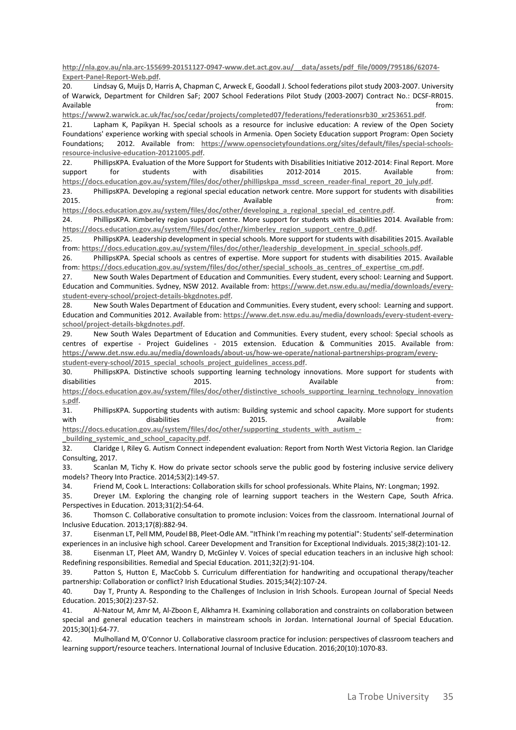**[http://nla.gov.au/nla.arc-155699-20151127-0947-www.det.act.gov.au/\\_\\_data/assets/pdf\\_file/0009/795186/62074-](http://nla.gov.au/nla.arc-155699-20151127-0947-www.det.act.gov.au/__data/assets/pdf_file/0009/795186/62074-Expert-Panel-Report-Web.pdf) [Expert-Panel-Report-Web.pdf](http://nla.gov.au/nla.arc-155699-20151127-0947-www.det.act.gov.au/__data/assets/pdf_file/0009/795186/62074-Expert-Panel-Report-Web.pdf)**.

20. Lindsay G, Muijs D, Harris A, Chapman C, Arweck E, Goodall J. School federations pilot study 2003-2007. University of Warwick, Department for Children SaF; 2007 School Federations Pilot Study (2003-2007) Contract No.: DCSF-RR015. Available from: the contract of the contract of the contract of the contract of the contract of the contract of the contract of the contract of the contract of the contract of the contract of the contract of the contract o

**[https://www2.warwick.ac.uk/fac/soc/cedar/projects/completed07/federations/federationsrb30\\_xr253651.pdf](https://www2.warwick.ac.uk/fac/soc/cedar/projects/completed07/federations/federationsrb30_xr253651.pdf)**.

21. Lapham K, Papikyan H. Special schools as a resource for inclusive education: A review of the Open Society Foundations' experience working with special schools in Armenia. Open Society Education support Program: Open Society Foundations; 2012. Available from: **[https://www.opensocietyfoundations.org/sites/default/files/special-schools](https://www.opensocietyfoundations.org/sites/default/files/special-schools-resource-inclusive-education-20121005.pdf)[resource-inclusive-education-20121005.pdf](https://www.opensocietyfoundations.org/sites/default/files/special-schools-resource-inclusive-education-20121005.pdf)**.

22. PhillipsKPA. Evaluation of the More Support for Students with Disabilities Initiative 2012-2014: Final Report. More support for students with disabilities 2012-2014 2015. Available from: **[https://docs.education.gov.au/system/files/doc/other/phillipskpa\\_mssd\\_screen\\_reader-final\\_report\\_20\\_july.pdf](https://docs.education.gov.au/system/files/doc/other/phillipskpa_mssd_screen_reader-final_report_20_july.pdf)**.

23. PhillipsKPA. Developing a regional special education network centre. More support for students with disabilities 2015. The contraction of the contraction of the contraction of the contraction of the contraction of the contraction of the contraction of the contraction of the contraction of the contraction of the contraction of the con

**[https://docs.education.gov.au/system/files/doc/other/developing\\_a\\_regional\\_special\\_ed\\_centre.pdf](https://docs.education.gov.au/system/files/doc/other/developing_a_regional_special_ed_centre.pdf)**.

24. PhillipsKPA. Kimberley region support centre. More support for students with disabilities 2014. Available from: **[https://docs.education.gov.au/system/files/doc/other/kimberley\\_region\\_support\\_centre\\_0.pdf](https://docs.education.gov.au/system/files/doc/other/kimberley_region_support_centre_0.pdf)**.

25. PhillipsKPA. Leadership development in special schools. More support for students with disabilities 2015. Available from: **[https://docs.education.gov.au/system/files/doc/other/leadership\\_development\\_in\\_special\\_schools.pdf](https://docs.education.gov.au/system/files/doc/other/leadership_development_in_special_schools.pdf)**.

26. PhillipsKPA. Special schools as centres of expertise. More support for students with disabilities 2015. Available from: **[https://docs.education.gov.au/system/files/doc/other/special\\_schools\\_as\\_centres\\_of\\_expertise\\_cm.pdf](https://docs.education.gov.au/system/files/doc/other/special_schools_as_centres_of_expertise_cm.pdf)**.

27. New South Wales Department of Education and Communities. Every student, every school: Learning and Support. Education and Communities. Sydney, NSW 2012. Available from: **[https://www.det.nsw.edu.au/media/downloads/every](https://www.det.nsw.edu.au/media/downloads/every-student-every-school/project-details-bkgdnotes.pdf)[student-every-school/project-details-bkgdnotes.pdf](https://www.det.nsw.edu.au/media/downloads/every-student-every-school/project-details-bkgdnotes.pdf)**.

28. New South Wales Department of Education and Communities. Every student, every school: Learning and support. Education and Communities 2012. Available from: **[https://www.det.nsw.edu.au/media/downloads/every-student-every](https://www.det.nsw.edu.au/media/downloads/every-student-every-school/project-details-bkgdnotes.pdf)[school/project-details-bkgdnotes.pdf](https://www.det.nsw.edu.au/media/downloads/every-student-every-school/project-details-bkgdnotes.pdf)**.

29. New South Wales Department of Education and Communities. Every student, every school: Special schools as centres of expertise - Project Guidelines - 2015 extension. Education & Communities 2015. Available from: **[https://www.det.nsw.edu.au/media/downloads/about-us/how-we-operate/national-partnerships-program/every](https://www.det.nsw.edu.au/media/downloads/about-us/how-we-operate/national-partnerships-program/every-student-every-school/2015_special_schools_project_guidelines_access.pdf)[student-every-school/2015\\_special\\_schools\\_project\\_guidelines\\_access.pdf](https://www.det.nsw.edu.au/media/downloads/about-us/how-we-operate/national-partnerships-program/every-student-every-school/2015_special_schools_project_guidelines_access.pdf)**.

30. PhillipsKPA. Distinctive schools supporting learning technology innovations. More support for students with disabilities 2015. Available from: **[https://docs.education.gov.au/system/files/doc/other/distinctive\\_schools\\_supporting\\_learning\\_technology\\_innovation](https://docs.education.gov.au/system/files/doc/other/distinctive_schools_supporting_learning_technology_innovations.pdf)**

**[s.pdf](https://docs.education.gov.au/system/files/doc/other/distinctive_schools_supporting_learning_technology_innovations.pdf)**. 31. PhillipsKPA. Supporting students with autism: Building systemic and school capacity. More support for students with disabilities 2015. Available from: with the disabilities 2015.

**[https://docs.education.gov.au/system/files/doc/other/supporting\\_students\\_with\\_autism\\_-](https://docs.education.gov.au/system/files/doc/other/supporting_students_with_autism_-_building_systemic_and_school_capacity.pdf) [\\_building\\_systemic\\_and\\_school\\_capacity.pdf](https://docs.education.gov.au/system/files/doc/other/supporting_students_with_autism_-_building_systemic_and_school_capacity.pdf)**.

32. Claridge I, Riley G. Autism Connect independent evaluation: Report from North West Victoria Region. Ian Claridge Consulting, 2017.

33. Scanlan M, Tichy K. How do private sector schools serve the public good by fostering inclusive service delivery models? Theory Into Practice. 2014;53(2):149-57.

34. Friend M, Cook L. Interactions: Collaboration skills for school professionals. White Plains, NY: Longman; 1992.

35. Dreyer LM. Exploring the changing role of learning support teachers in the Western Cape, South Africa. Perspectives in Education. 2013;31(2):54-64.

36. Thomson C. Collaborative consultation to promote inclusion: Voices from the classroom. International Journal of Inclusive Education. 2013;17(8):882-94.

37. Eisenman LT, Pell MM, Poudel BB, Pleet-Odle AM. "ItThink I'm reaching my potential": Students' self-determination experiences in an inclusive high school. Career Development and Transition for Exceptional Individuals. 2015;38(2):101-12.

38. Eisenman LT, Pleet AM, Wandry D, McGinley V. Voices of special education teachers in an inclusive high school: Redefining responsibilities. Remedial and Special Education. 2011;32(2):91-104.

39. Patton S, Hutton E, MacCobb S. Curriculum differentiation for handwriting and occupational therapy/teacher partnership: Collaboration or conflict? Irish Educational Studies. 2015;34(2):107-24.

40. Day T, Prunty A. Responding to the Challenges of Inclusion in Irish Schools. European Journal of Special Needs Education. 2015;30(2):237-52.

41. Al-Natour M, Amr M, Al-Zboon E, Alkhamra H. Examining collaboration and constraints on collaboration between special and general education teachers in mainstream schools in Jordan. International Journal of Special Education. 2015;30(1):64-77.

42. Mulholland M, O'Connor U. Collaborative classroom practice for inclusion: perspectives of classroom teachers and learning support/resource teachers. International Journal of Inclusive Education. 2016;20(10):1070-83.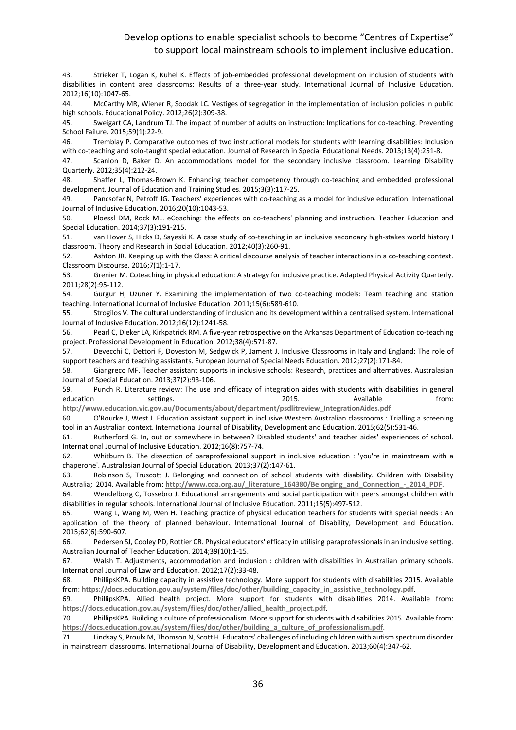43. Strieker T, Logan K, Kuhel K. Effects of job-embedded professional development on inclusion of students with disabilities in content area classrooms: Results of a three-year study. International Journal of Inclusive Education. 2012;16(10):1047-65.

44. McCarthy MR, Wiener R, Soodak LC. Vestiges of segregation in the implementation of inclusion policies in public high schools. Educational Policy. 2012;26(2):309-38.

45. Sweigart CA, Landrum TJ. The impact of number of adults on instruction: Implications for co-teaching. Preventing School Failure. 2015;59(1):22-9.

46. Tremblay P. Comparative outcomes of two instructional models for students with learning disabilities: Inclusion with co-teaching and solo-taught special education. Journal of Research in Special Educational Needs. 2013;13(4):251-8.

47. Scanlon D, Baker D. An accommodations model for the secondary inclusive classroom. Learning Disability Quarterly. 2012;35(4):212-24.

48. Shaffer L, Thomas-Brown K. Enhancing teacher competency through co-teaching and embedded professional development. Journal of Education and Training Studies. 2015;3(3):117-25.

49. Pancsofar N, Petroff JG. Teachers' experiences with co-teaching as a model for inclusive education. International Journal of Inclusive Education. 2016;20(10):1043-53.

50. Ploessl DM, Rock ML. eCoaching: the effects on co-teachers' planning and instruction. Teacher Education and Special Education. 2014;37(3):191-215.

51. van Hover S, Hicks D, Sayeski K. A case study of co-teaching in an inclusive secondary high-stakes world history I classroom. Theory and Research in Social Education. 2012;40(3):260-91.

52. Ashton JR. Keeping up with the Class: A critical discourse analysis of teacher interactions in a co-teaching context. Classroom Discourse. 2016;7(1):1-17.

53. Grenier M. Coteaching in physical education: A strategy for inclusive practice. Adapted Physical Activity Quarterly. 2011;28(2):95-112.

54. Gurgur H, Uzuner Y. Examining the implementation of two co-teaching models: Team teaching and station teaching. International Journal of Inclusive Education. 2011;15(6):589-610.

55. Strogilos V. The cultural understanding of inclusion and its development within a centralised system. International Journal of Inclusive Education. 2012;16(12):1241-58.

56. Pearl C, Dieker LA, Kirkpatrick RM. A five-year retrospective on the Arkansas Department of Education co-teaching project. Professional Development in Education. 2012;38(4):571-87.

57. Devecchi C, Dettori F, Doveston M, Sedgwick P, Jament J. Inclusive Classrooms in Italy and England: The role of support teachers and teaching assistants. European Journal of Special Needs Education. 2012;27(2):171-84.

58. Giangreco MF. Teacher assistant supports in inclusive schools: Research, practices and alternatives. Australasian Journal of Special Education. 2013;37(2):93-106.

59. Punch R. Literature review: The use and efficacy of integration aides with students with disabilities in general education and settings. According to the control of the control of the control of the settings. Available from: **[http://www.education.vic.gov.au/Documents/about/department/psdlitreview\\_IntegrationAides.pdf](http://www.education.vic.gov.au/Documents/about/department/psdlitreview_IntegrationAides.pdf)**

60. O'Rourke J, West J. Education assistant support in inclusive Western Australian classrooms : Trialling a screening

tool in an Australian context. International Journal of Disability, Development and Education. 2015;62(5):531-46.

61. Rutherford G. In, out or somewhere in between? Disabled students' and teacher aides' experiences of school. International Journal of Inclusive Education. 2012;16(8):757-74.

62. Whitburn B. The dissection of paraprofessional support in inclusive education : 'you're in mainstream with a chaperone'. Australasian Journal of Special Education. 2013;37(2):147-61.

63. Robinson S, Truscott J. Belonging and connection of school students with disability. Children with Disability Australia; 2014. Available from: http://www.cda.org.au/ literature 164380/Belonging and Connection - 2014 PDF.

64. Wendelborg C, Tossebro J. Educational arrangements and social participation with peers amongst children with disabilities in regular schools. International Journal of Inclusive Education. 2011;15(5):497-512.

65. Wang L, Wang M, Wen H. Teaching practice of physical education teachers for students with special needs : An application of the theory of planned behaviour. International Journal of Disability, Development and Education. 2015;62(6):590-607.

66. Pedersen SJ, Cooley PD, Rottier CR. Physical educators' efficacy in utilising paraprofessionals in an inclusive setting. Australian Journal of Teacher Education. 2014;39(10):1-15.

67. Walsh T. Adjustments, accommodation and inclusion : children with disabilities in Australian primary schools. International Journal of Law and Education. 2012;17(2):33-48.

68. PhillipsKPA. Building capacity in assistive technology. More support for students with disabilities 2015. Available from: **[https://docs.education.gov.au/system/files/doc/other/building\\_capacity\\_in\\_assistive\\_technology.pdf](https://docs.education.gov.au/system/files/doc/other/building_capacity_in_assistive_technology.pdf)**.

69. PhillipsKPA. Allied health project. More support for students with disabilities 2014. Available from: **[https://docs.education.gov.au/system/files/doc/other/allied\\_health\\_project.pdf](https://docs.education.gov.au/system/files/doc/other/allied_health_project.pdf)**.

70. PhillipsKPA. Building a culture of professionalism. More support for students with disabilities 2015. Available from: **[https://docs.education.gov.au/system/files/doc/other/building\\_a\\_culture\\_of\\_professionalism.pdf](https://docs.education.gov.au/system/files/doc/other/building_a_culture_of_professionalism.pdf)**.

71. Lindsay S, Proulx M, Thomson N, Scott H. Educators' challenges of including children with autism spectrum disorder in mainstream classrooms. International Journal of Disability, Development and Education. 2013;60(4):347-62.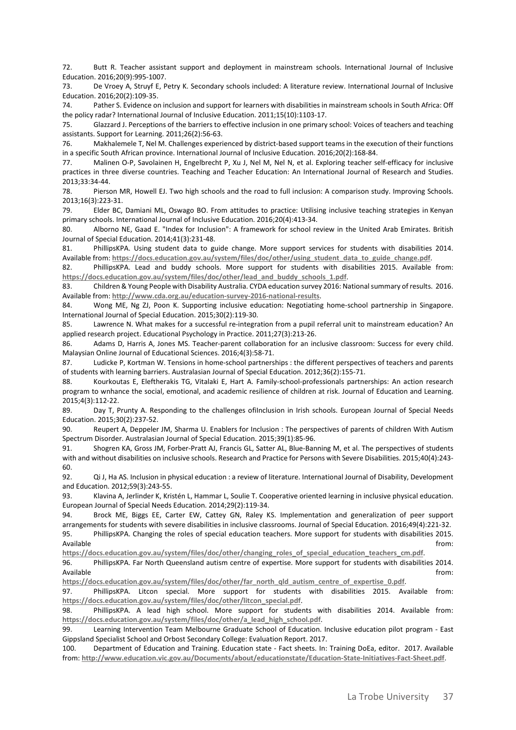72. Butt R. Teacher assistant support and deployment in mainstream schools. International Journal of Inclusive Education. 2016;20(9):995-1007.

73. De Vroey A, Struyf E, Petry K. Secondary schools included: A literature review. International Journal of Inclusive Education. 2016;20(2):109-35.

74. Pather S. Evidence on inclusion and support for learners with disabilities in mainstream schools in South Africa: Off the policy radar? International Journal of Inclusive Education. 2011;15(10):1103-17.

75. Glazzard J. Perceptions of the barriers to effective inclusion in one primary school: Voices of teachers and teaching assistants. Support for Learning. 2011;26(2):56-63.

76. Makhalemele T, Nel M. Challenges experienced by district-based support teams in the execution of their functions in a specific South African province. International Journal of Inclusive Education. 2016;20(2):168-84.

77. Malinen O-P, Savolainen H, Engelbrecht P, Xu J, Nel M, Nel N, et al. Exploring teacher self-efficacy for inclusive practices in three diverse countries. Teaching and Teacher Education: An International Journal of Research and Studies. 2013;33:34-44.

78. Pierson MR, Howell EJ. Two high schools and the road to full inclusion: A comparison study. Improving Schools. 2013;16(3):223-31.

79. Elder BC, Damiani ML, Oswago BO. From attitudes to practice: Utilising inclusive teaching strategies in Kenyan primary schools. International Journal of Inclusive Education. 2016;20(4):413-34.

80. Alborno NE, Gaad E. "Index for Inclusion": A framework for school review in the United Arab Emirates. British Journal of Special Education. 2014;41(3):231-48.

81. PhillipsKPA. Using student data to guide change. More support services for students with disabilities 2014. Available from: **[https://docs.education.gov.au/system/files/doc/other/using\\_student\\_data\\_to\\_guide\\_change.pdf](https://docs.education.gov.au/system/files/doc/other/using_student_data_to_guide_change.pdf)**.

82. PhillipsKPA. Lead and buddy schools. More support for students with disabilities 2015. Available from: **[https://docs.education.gov.au/system/files/doc/other/lead\\_and\\_buddy\\_schools\\_1.pdf](https://docs.education.gov.au/system/files/doc/other/lead_and_buddy_schools_1.pdf)**.

83. Children & Young People with Disability Australia. CYDA education survey 2016: National summary of results. 2016. Available from: **<http://www.cda.org.au/education-survey-2016-national-results>**.

84. Wong ME, Ng ZJ, Poon K. Supporting inclusive education: Negotiating home-school partnership in Singapore. International Journal of Special Education. 2015;30(2):119-30.

85. Lawrence N. What makes for a successful re-integration from a pupil referral unit to mainstream education? An applied research project. Educational Psychology in Practice. 2011;27(3):213-26.

86. Adams D, Harris A, Jones MS. Teacher-parent collaboration for an inclusive classroom: Success for every child. Malaysian Online Journal of Educational Sciences. 2016;4(3):58-71.

87. Ludicke P, Kortman W. Tensions in home-school partnerships : the different perspectives of teachers and parents of students with learning barriers. Australasian Journal of Special Education. 2012;36(2):155-71.

88. Kourkoutas E, Eleftherakis TG, Vitalaki E, Hart A. Family-school-professionals partnerships: An action research program to wnhance the social, emotional, and academic resilience of children at risk. Journal of Education and Learning. 2015;4(3):112-22.

89. Day T, Prunty A. Responding to the challenges ofilnclusion in Irish schools. European Journal of Special Needs Education. 2015;30(2):237-52.

90. Reupert A, Deppeler JM, Sharma U. Enablers for Inclusion : The perspectives of parents of children With Autism Spectrum Disorder. Australasian Journal of Special Education. 2015;39(1):85-96.

91. Shogren KA, Gross JM, Forber-Pratt AJ, Francis GL, Satter AL, Blue-Banning M, et al. The perspectives of students with and without disabilities on inclusive schools. Research and Practice for Persons with Severe Disabilities. 2015;40(4):243- 60.

92. Qi J, Ha AS. Inclusion in physical education : a review of literature. International Journal of Disability, Development and Education. 2012;59(3):243-55.

93. Klavina A, Jerlinder K, Kristén L, Hammar L, Soulie T. Cooperative oriented learning in inclusive physical education. European Journal of Special Needs Education. 2014;29(2):119-34.

94. Brock ME, Biggs EE, Carter EW, Cattey GN, Raley KS. Implementation and generalization of peer support arrangements for students with severe disabilities in inclusive classrooms. Journal of Special Education. 2016;49(4):221-32.

95. PhillipsKPA. Changing the roles of special education teachers. More support for students with disabilities 2015. Available from: the contract of the contract of the contract of the contract of the contract of the contract of the contract of the contract of the contract of the contract of the contract of the contract of the contract o

**[https://docs.education.gov.au/system/files/doc/other/changing\\_roles\\_of\\_special\\_education\\_teachers\\_cm.pdf](https://docs.education.gov.au/system/files/doc/other/changing_roles_of_special_education_teachers_cm.pdf)**.

96. PhillipsKPA. Far North Queensland autism centre of expertise. More support for students with disabilities 2014. Available from: the contract of the contract of the contract of the contract of the contract of the contract of the contract of the contract of the contract of the contract of the contract of the contract of the contract o

**[https://docs.education.gov.au/system/files/doc/other/far\\_north\\_qld\\_autism\\_centre\\_of\\_expertise\\_0.pdf](https://docs.education.gov.au/system/files/doc/other/far_north_qld_autism_centre_of_expertise_0.pdf)**.

97. PhillipsKPA. Litcon special. More support for students with disabilities 2015. Available from: **[https://docs.education.gov.au/system/files/doc/other/litcon\\_special.pdf](https://docs.education.gov.au/system/files/doc/other/litcon_special.pdf)**.

98. PhillipsKPA. A lead high school. More support for students with disabilities 2014. Available from: **[https://docs.education.gov.au/system/files/doc/other/a\\_lead\\_high\\_school.pdf](https://docs.education.gov.au/system/files/doc/other/a_lead_high_school.pdf)**.

99. Learning Intervention Team Melbourne Graduate School of Education. Inclusive education pilot program - East Gippsland Specialist School and Orbost Secondary College: Evaluation Report. 2017.

100. Department of Education and Training. Education state - Fact sheets. In: Training DoEa, editor. 2017. Available from: **<http://www.education.vic.gov.au/Documents/about/educationstate/Education-State-Initiatives-Fact-Sheet.pdf>**.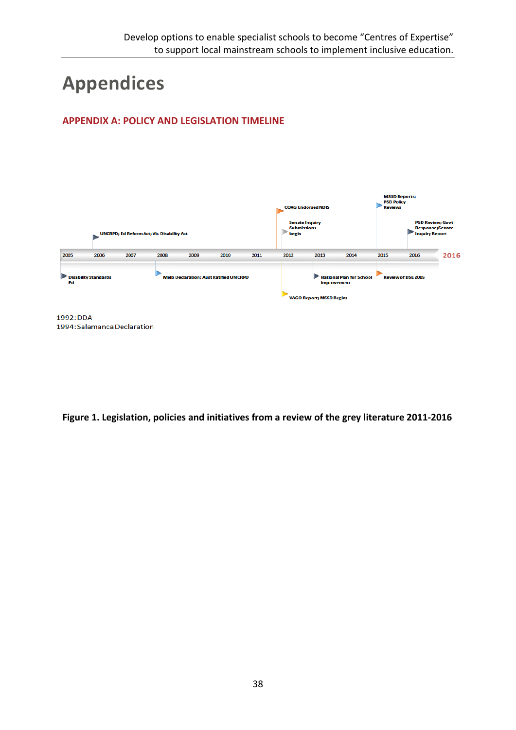# **Appendices**

# **APPENDIX A: POLICY AND LEGISLATION TIMELINE**



1992: DDA 1994: Salamanca Declaration

**Figure 1. Legislation, policies and initiatives from a review of the grey literature 2011-2016**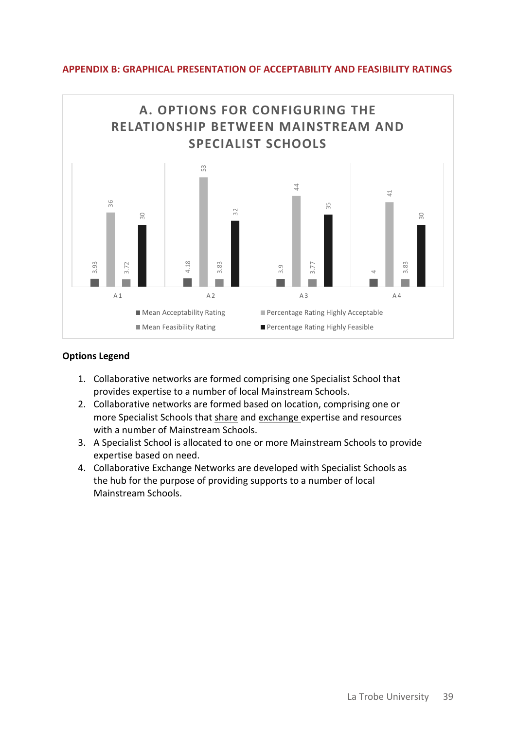

### **APPENDIX B: GRAPHICAL PRESENTATION OF ACCEPTABILITY AND FEASIBILITY RATINGS**

- 1. Collaborative networks are formed comprising one Specialist School that provides expertise to a number of local Mainstream Schools.
- 2. Collaborative networks are formed based on location, comprising one or more Specialist Schools that share and exchange expertise and resources with a number of Mainstream Schools.
- 3. A Specialist School is allocated to one or more Mainstream Schools to provide expertise based on need.
- 4. Collaborative Exchange Networks are developed with Specialist Schools as the hub for the purpose of providing supports to a number of local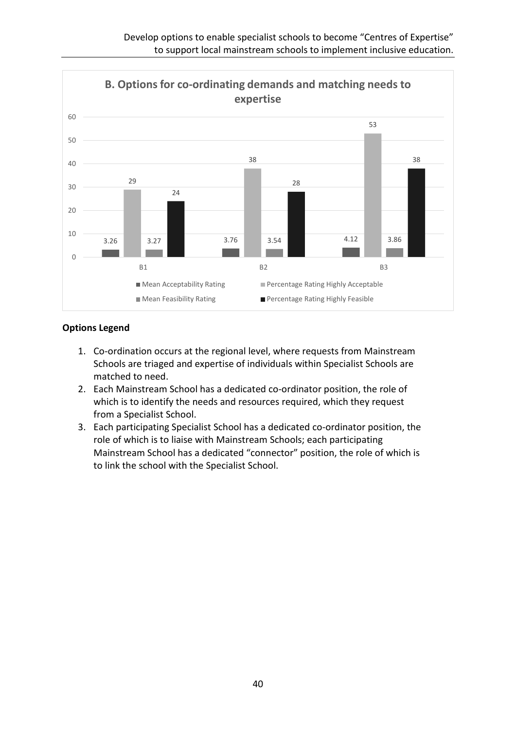

- 1. Co-ordination occurs at the regional level, where requests from Mainstream Schools are triaged and expertise of individuals within Specialist Schools are matched to need.
- 2. Each Mainstream School has a dedicated co-ordinator position, the role of which is to identify the needs and resources required, which they request from a Specialist School.
- 3. Each participating Specialist School has a dedicated co-ordinator position, the role of which is to liaise with Mainstream Schools; each participating Mainstream School has a dedicated "connector" position, the role of which is to link the school with the Specialist School.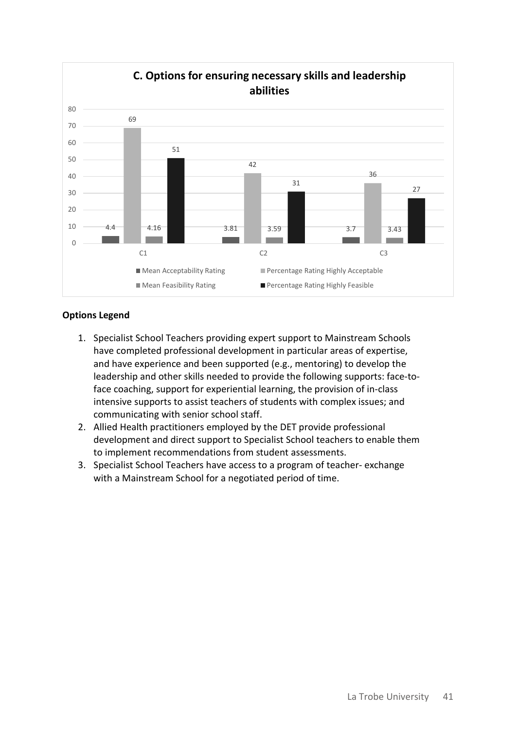

- 1. Specialist School Teachers providing expert support to Mainstream Schools have completed professional development in particular areas of expertise, and have experience and been supported (e.g., mentoring) to develop the leadership and other skills needed to provide the following supports: face-toface coaching, support for experiential learning, the provision of in-class intensive supports to assist teachers of students with complex issues; and communicating with senior school staff.
- 2. Allied Health practitioners employed by the DET provide professional development and direct support to Specialist School teachers to enable them to implement recommendations from student assessments.
- 3. Specialist School Teachers have access to a program of teacher- exchange with a Mainstream School for a negotiated period of time.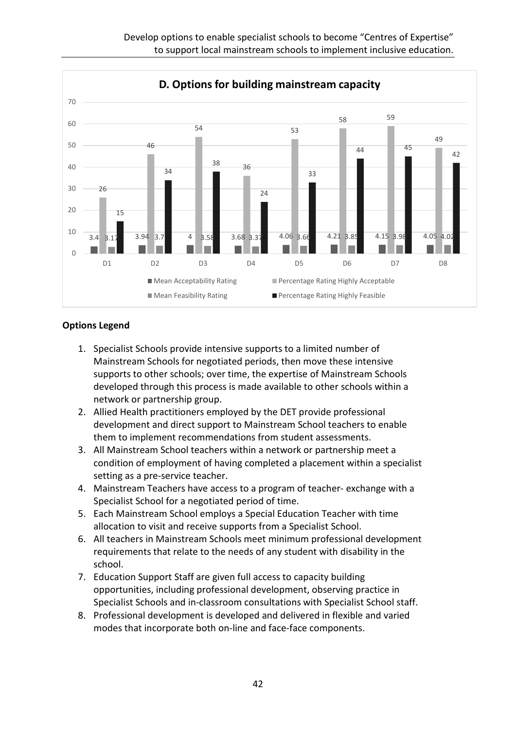Develop options to enable specialist schools to become "Centres of Expertise" to support local mainstream schools to implement inclusive education.



- 1. Specialist Schools provide intensive supports to a limited number of Mainstream Schools for negotiated periods, then move these intensive supports to other schools; over time, the expertise of Mainstream Schools developed through this process is made available to other schools within a network or partnership group.
- 2. Allied Health practitioners employed by the DET provide professional development and direct support to Mainstream School teachers to enable them to implement recommendations from student assessments.
- 3. All Mainstream School teachers within a network or partnership meet a condition of employment of having completed a placement within a specialist setting as a pre-service teacher.
- 4. Mainstream Teachers have access to a program of teacher- exchange with a Specialist School for a negotiated period of time.
- 5. Each Mainstream School employs a Special Education Teacher with time allocation to visit and receive supports from a Specialist School.
- 6. All teachers in Mainstream Schools meet minimum professional development requirements that relate to the needs of any student with disability in the school.
- 7. Education Support Staff are given full access to capacity building opportunities, including professional development, observing practice in Specialist Schools and in-classroom consultations with Specialist School staff.
- 8. Professional development is developed and delivered in flexible and varied modes that incorporate both on-line and face-face components.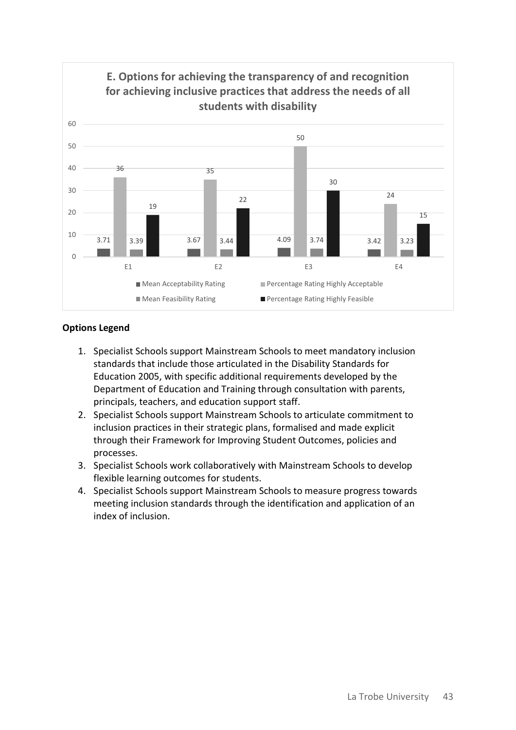

- 1. Specialist Schools support Mainstream Schools to meet mandatory inclusion standards that include those articulated in the Disability Standards for Education 2005, with specific additional requirements developed by the Department of Education and Training through consultation with parents, principals, teachers, and education support staff.
- 2. Specialist Schools support Mainstream Schools to articulate commitment to inclusion practices in their strategic plans, formalised and made explicit through their Framework for Improving Student Outcomes, policies and processes.
- 3. Specialist Schools work collaboratively with Mainstream Schools to develop flexible learning outcomes for students.
- 4. Specialist Schools support Mainstream Schools to measure progress towards meeting inclusion standards through the identification and application of an index of inclusion.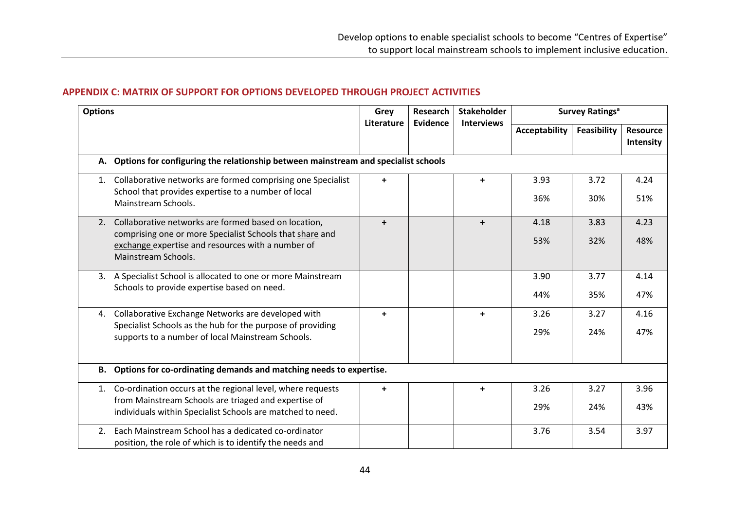### **APPENDIX C: MATRIX OF SUPPORT FOR OPTIONS DEVELOPED THROUGH PROJECT ACTIVITIES**

| <b>Options</b> |                                                                                                                                      | Grey<br>Literature   | <b>Research</b><br>Evidence | <b>Stakeholder</b> | <b>Survey Ratings<sup>a</sup></b> |                    |                              |  |  |  |
|----------------|--------------------------------------------------------------------------------------------------------------------------------------|----------------------|-----------------------------|--------------------|-----------------------------------|--------------------|------------------------------|--|--|--|
|                |                                                                                                                                      |                      |                             | <b>Interviews</b>  | Acceptability                     | <b>Feasibility</b> | <b>Resource</b><br>Intensity |  |  |  |
|                | A. Options for configuring the relationship between mainstream and specialist schools                                                |                      |                             |                    |                                   |                    |                              |  |  |  |
| 1.             | Collaborative networks are formed comprising one Specialist<br>School that provides expertise to a number of local                   | $\ddot{\phantom{1}}$ |                             | $\ddot{}$          | 3.93                              | 3.72               | 4.24                         |  |  |  |
|                | Mainstream Schools.                                                                                                                  |                      |                             |                    | 36%                               | 30%                | 51%                          |  |  |  |
|                | 2. Collaborative networks are formed based on location,                                                                              | $\ddotmark$          |                             | $\ddot{}$          | 4.18                              | 3.83               | 4.23                         |  |  |  |
|                | comprising one or more Specialist Schools that share and<br>exchange expertise and resources with a number of<br>Mainstream Schools. |                      |                             |                    | 53%                               | 32%                | 48%                          |  |  |  |
|                | 3. A Specialist School is allocated to one or more Mainstream                                                                        |                      |                             |                    | 3.90                              | 3.77               | 4.14                         |  |  |  |
|                | Schools to provide expertise based on need.                                                                                          |                      |                             |                    | 44%                               | 35%                | 47%                          |  |  |  |
| 4.             | Collaborative Exchange Networks are developed with                                                                                   | $\ddotmark$          |                             | $+$                | 3.26                              | 3.27               | 4.16                         |  |  |  |
|                | Specialist Schools as the hub for the purpose of providing<br>supports to a number of local Mainstream Schools.                      |                      |                             |                    | 29%                               | 24%                | 47%                          |  |  |  |
|                | B. Options for co-ordinating demands and matching needs to expertise.                                                                |                      |                             |                    |                                   |                    |                              |  |  |  |
| 1.             | Co-ordination occurs at the regional level, where requests                                                                           | $\ddot{}$            |                             | $+$                | 3.26                              | 3.27               | 3.96                         |  |  |  |
|                | from Mainstream Schools are triaged and expertise of<br>individuals within Specialist Schools are matched to need.                   |                      |                             |                    | 29%                               | 24%                | 43%                          |  |  |  |
| 2 <sup>1</sup> | Each Mainstream School has a dedicated co-ordinator<br>position, the role of which is to identify the needs and                      |                      |                             |                    | 3.76                              | 3.54               | 3.97                         |  |  |  |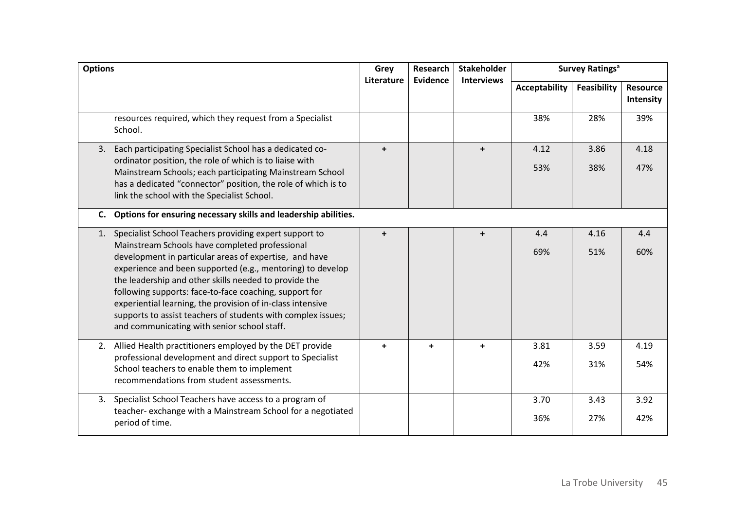| <b>Options</b> |                                                                                                                                                                                                                                                                                                                                                                                                                                                                                                                                  | Grey<br>Literature | <b>Research</b><br><b>Evidence</b> | <b>Stakeholder</b><br><b>Interviews</b> | <b>Survey Ratings<sup>a</sup></b> |             |                              |
|----------------|----------------------------------------------------------------------------------------------------------------------------------------------------------------------------------------------------------------------------------------------------------------------------------------------------------------------------------------------------------------------------------------------------------------------------------------------------------------------------------------------------------------------------------|--------------------|------------------------------------|-----------------------------------------|-----------------------------------|-------------|------------------------------|
|                |                                                                                                                                                                                                                                                                                                                                                                                                                                                                                                                                  |                    |                                    |                                         | <b>Acceptability</b>              | Feasibility | <b>Resource</b><br>Intensity |
|                | resources required, which they request from a Specialist<br>School.                                                                                                                                                                                                                                                                                                                                                                                                                                                              |                    |                                    |                                         | 38%                               | 28%         | 39%                          |
| 3.             | Each participating Specialist School has a dedicated co-<br>ordinator position, the role of which is to liaise with<br>Mainstream Schools; each participating Mainstream School<br>has a dedicated "connector" position, the role of which is to<br>link the school with the Specialist School.                                                                                                                                                                                                                                  | $+$                |                                    | $+$                                     | 4.12<br>53%                       | 3.86<br>38% | 4.18<br>47%                  |
| C.             | Options for ensuring necessary skills and leadership abilities.                                                                                                                                                                                                                                                                                                                                                                                                                                                                  |                    |                                    |                                         |                                   |             |                              |
| 1.             | Specialist School Teachers providing expert support to<br>Mainstream Schools have completed professional<br>development in particular areas of expertise, and have<br>experience and been supported (e.g., mentoring) to develop<br>the leadership and other skills needed to provide the<br>following supports: face-to-face coaching, support for<br>experiential learning, the provision of in-class intensive<br>supports to assist teachers of students with complex issues;<br>and communicating with senior school staff. | $\ddot{}$          |                                    | $\ddot{}$                               | 4.4<br>69%                        | 4.16<br>51% | 4.4<br>60%                   |
|                | 2. Allied Health practitioners employed by the DET provide<br>professional development and direct support to Specialist<br>School teachers to enable them to implement<br>recommendations from student assessments.                                                                                                                                                                                                                                                                                                              | $+$                | $+$                                | $+$                                     | 3.81<br>42%                       | 3.59<br>31% | 4.19<br>54%                  |
| 3.             | Specialist School Teachers have access to a program of<br>teacher- exchange with a Mainstream School for a negotiated<br>period of time.                                                                                                                                                                                                                                                                                                                                                                                         |                    |                                    |                                         | 3.70<br>36%                       | 3.43<br>27% | 3.92<br>42%                  |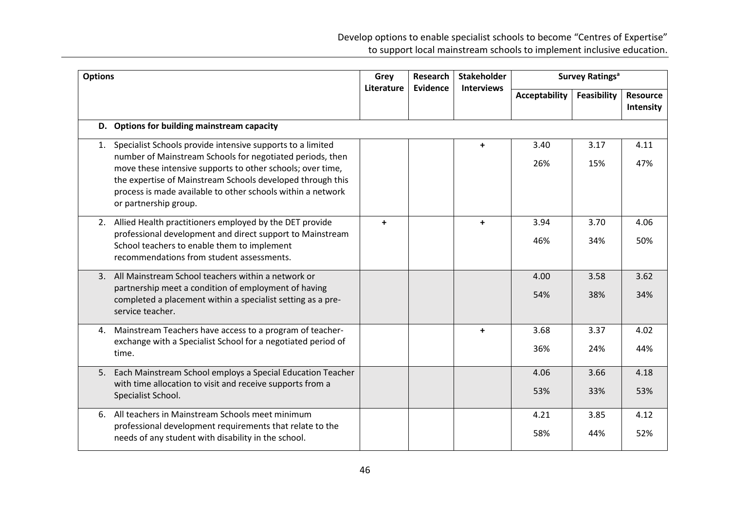| <b>Options</b> |                                                                                                                                                                                                                                                                                                                                             | Grey<br>Literature | Research<br>Evidence | <b>Stakeholder</b><br><b>Interviews</b> | <b>Survey Ratings<sup>a</sup></b> |             |                              |
|----------------|---------------------------------------------------------------------------------------------------------------------------------------------------------------------------------------------------------------------------------------------------------------------------------------------------------------------------------------------|--------------------|----------------------|-----------------------------------------|-----------------------------------|-------------|------------------------------|
|                |                                                                                                                                                                                                                                                                                                                                             |                    |                      |                                         | <b>Acceptability</b>              | Feasibility | <b>Resource</b><br>Intensity |
|                | D. Options for building mainstream capacity                                                                                                                                                                                                                                                                                                 |                    |                      |                                         |                                   |             |                              |
| 1.             | Specialist Schools provide intensive supports to a limited<br>number of Mainstream Schools for negotiated periods, then<br>move these intensive supports to other schools; over time,<br>the expertise of Mainstream Schools developed through this<br>process is made available to other schools within a network<br>or partnership group. |                    |                      | $\ddot{\phantom{1}}$                    | 3.40<br>26%                       | 3.17<br>15% | 4.11<br>47%                  |
| 2.             | Allied Health practitioners employed by the DET provide<br>professional development and direct support to Mainstream<br>School teachers to enable them to implement<br>recommendations from student assessments.                                                                                                                            | $\ddotmark$        |                      | $\ddot{}$                               | 3.94<br>46%                       | 3.70<br>34% | 4.06<br>50%                  |
|                | 3. All Mainstream School teachers within a network or<br>partnership meet a condition of employment of having<br>completed a placement within a specialist setting as a pre-<br>service teacher.                                                                                                                                            |                    |                      |                                         | 4.00<br>54%                       | 3.58<br>38% | 3.62<br>34%                  |
| 4.             | Mainstream Teachers have access to a program of teacher-<br>exchange with a Specialist School for a negotiated period of<br>time.                                                                                                                                                                                                           |                    |                      | $\ddot{}$                               | 3.68<br>36%                       | 3.37<br>24% | 4.02<br>44%                  |
|                | 5. Each Mainstream School employs a Special Education Teacher<br>with time allocation to visit and receive supports from a<br>Specialist School.                                                                                                                                                                                            |                    |                      |                                         | 4.06<br>53%                       | 3.66<br>33% | 4.18<br>53%                  |
|                | 6. All teachers in Mainstream Schools meet minimum<br>professional development requirements that relate to the<br>needs of any student with disability in the school.                                                                                                                                                                       |                    |                      |                                         | 4.21<br>58%                       | 3.85<br>44% | 4.12<br>52%                  |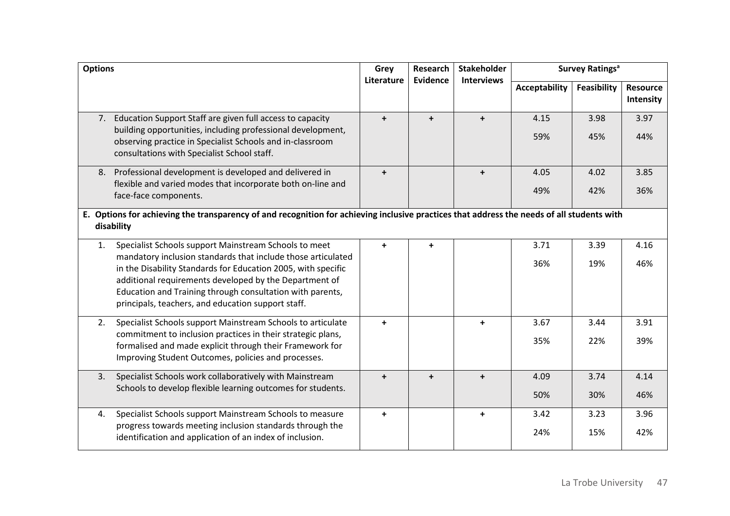| <b>Options</b>                                                                                                                                                                                                                                                                                                                                                            | Grey<br>Literature | <b>Research</b><br>Evidence | <b>Stakeholder</b><br><b>Interviews</b> | <b>Survey Ratings<sup>a</sup></b> |             |                              |  |  |
|---------------------------------------------------------------------------------------------------------------------------------------------------------------------------------------------------------------------------------------------------------------------------------------------------------------------------------------------------------------------------|--------------------|-----------------------------|-----------------------------------------|-----------------------------------|-------------|------------------------------|--|--|
|                                                                                                                                                                                                                                                                                                                                                                           |                    |                             |                                         | Acceptability                     | Feasibility | <b>Resource</b><br>Intensity |  |  |
| Education Support Staff are given full access to capacity<br>7.<br>building opportunities, including professional development,<br>observing practice in Specialist Schools and in-classroom<br>consultations with Specialist School staff.                                                                                                                                | $\ddot{}$          | $\ddot{}$                   | $\ddot{}$                               | 4.15<br>59%                       | 3.98<br>45% | 3.97<br>44%                  |  |  |
| Professional development is developed and delivered in<br>8.<br>flexible and varied modes that incorporate both on-line and<br>face-face components.                                                                                                                                                                                                                      | $\ddot{}$          |                             | $\ddot{}$                               | 4.05<br>49%                       | 4.02<br>42% | 3.85<br>36%                  |  |  |
| E. Options for achieving the transparency of and recognition for achieving inclusive practices that address the needs of all students with<br>disability                                                                                                                                                                                                                  |                    |                             |                                         |                                   |             |                              |  |  |
| Specialist Schools support Mainstream Schools to meet<br>1.<br>mandatory inclusion standards that include those articulated<br>in the Disability Standards for Education 2005, with specific<br>additional requirements developed by the Department of<br>Education and Training through consultation with parents,<br>principals, teachers, and education support staff. | $+$                | $\ddot{}$                   |                                         | 3.71<br>36%                       | 3.39<br>19% | 4.16<br>46%                  |  |  |
| Specialist Schools support Mainstream Schools to articulate<br>2.<br>commitment to inclusion practices in their strategic plans,<br>formalised and made explicit through their Framework for<br>Improving Student Outcomes, policies and processes.                                                                                                                       | $+$                |                             | $\ddot{}$                               | 3.67<br>35%                       | 3.44<br>22% | 3.91<br>39%                  |  |  |
| Specialist Schools work collaboratively with Mainstream<br>3.<br>Schools to develop flexible learning outcomes for students.                                                                                                                                                                                                                                              | $+$                | $+$                         | $+$                                     | 4.09<br>50%                       | 3.74<br>30% | 4.14<br>46%                  |  |  |
| Specialist Schools support Mainstream Schools to measure<br>4.<br>progress towards meeting inclusion standards through the<br>identification and application of an index of inclusion.                                                                                                                                                                                    | $\ddot{+}$         |                             | $\ddot{}$                               | 3.42<br>24%                       | 3.23<br>15% | 3.96<br>42%                  |  |  |